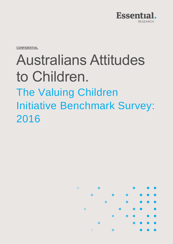

**CONFIDENTIAL**

# Australians Attitudes to Children. The Valuing Children Initiative Benchmark Survey: 2016

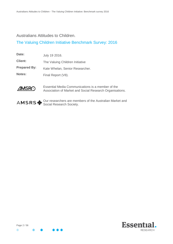# Australians Attitudes to Children.

# The Valuing Children Initiative Benchmark Survey: 2016

| Date:               | July 19 2016.                   |
|---------------------|---------------------------------|
| <b>Client:</b>      | The Valuing Children Initiative |
| <b>Prepared By:</b> | Kate Whelan, Senior Researcher. |
| <b>Notes:</b>       | Final Report (V8).              |



Essential Media Communications is a member of the Association of Market and Social Research Organisations.



Our researchers are members of the Australian Market and Social Research Society.



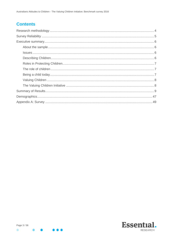# **Contents**

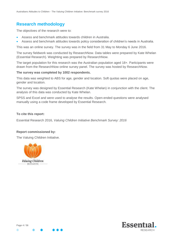# <span id="page-3-0"></span>**Research methodology**

The objectives of the research were to:

- Assess and benchmark attitudes towards children in Australia.
- Assess and benchmark attitudes towards policy consideration of children's needs in Australia.

This was an online survey. The survey was in the field from 31 May to Monday 6 June 2016.

The survey fieldwork was conducted by ResearchNow. Data tables were prepared by Kate Whelan (Essential Research). Weighting was prepared by ResearchNow.

The target population for this research was the Australian population aged 18+. Participants were drawn from the ResearchNow online survey panel. The survey was hosted by ResearchNow.

#### **The survey was completed by 1002 respondents.**

This data was weighted to ABS for age, gender and location. Soft quotas were placed on age, gender and location.

The survey was designed by Essential Research (Kate Whelan) in conjunction with the client. The analysis of this data was conducted by Kate Whelan.

SPSS and Excel and were used to analyse the results. Open-ended questions were analysed manually using a code frame developed by Essential Research.

#### **To cite this report:**

Essential Research 2016, *Valuing Children Initiative Benchmark Survey: 2016*

#### **Report commissioned by:**

The Valuing Children Initiative.





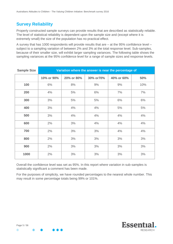# <span id="page-4-0"></span>**Survey Reliability**

Properly constructed sample surveys can provide results that are described as statistically reliable. The level of statistical reliability is dependent upon the sample size and (except where it is extremely small) the size of the population has no practical effect.

A survey that has 1000 respondents will provide results that are – at the 95% confidence level – subject to a sampling variation of between 2% and 3% at the total response level. Sub-samples, because of their smaller size, will exhibit larger sampling variances. The following table shows the sampling variances at the 95% confidence level for a range of sample sizes and response levels.

| <b>Sample Size</b> | Variation where the answer is near the percentage of |            |            |                   |     |  |  |  |  |
|--------------------|------------------------------------------------------|------------|------------|-------------------|-----|--|--|--|--|
|                    | 10% or 90%                                           | 20% or 80% | 30% or 70% | 40% or 60%<br>50% |     |  |  |  |  |
| 100                | 6%                                                   | 8%         | 9%         | 9%                | 10% |  |  |  |  |
| 200                | 4%                                                   | 5%         | 6%         | 7%                | 7%  |  |  |  |  |
| 300<br>3%          |                                                      | 5%         | 5%         | 6%                | 6%  |  |  |  |  |
| 400                | 3%                                                   | 4%         | 4%         | 5%                | 5%  |  |  |  |  |
| 500                | 3%                                                   | 4%         | 4%         | 4%                | 4%  |  |  |  |  |
| 600<br>2%          |                                                      | 3%         | 4%         | 4%                | 4%  |  |  |  |  |
| 700                | 2%                                                   |            | 3%         | 4%                | 4%  |  |  |  |  |
| 800<br>2%          |                                                      | 3%         | 3%         | 3%                | 3%  |  |  |  |  |
| 900                | 2%                                                   | 3%         | 3%         | 3%                | 3%  |  |  |  |  |
| 1000               | 2%                                                   | 3%         | 3%         | 3%                | 3%  |  |  |  |  |

Overall the confidence level was set as 95%. In this report where variation in sub-samples is statistically significant a comment has been made.

For the purposes of simplicity, we have rounded percentages to the nearest whole number. This may result in some percentage totals being 99% or 101%.

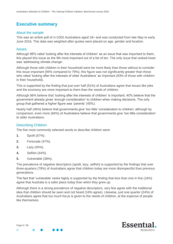# <span id="page-5-0"></span>**Executive summary**

#### <span id="page-5-1"></span>About the sample

This was an online poll of n=1002 Australians aged 18+ and was conducted from late May to early June 2016. This data was weighted after quotas were placed on age, gender and location.

#### <span id="page-5-2"></span>**Issues**

Although 86% rated 'looking after the interests of children' as an issue that was important to them, this placed this issue as the 9th most important out of a list of ten. The only issue that ranked lower was 'addressing climate change'.

Although those with children in their household were far more likely than those without to consider this issue important (95% compared to 79%), this figure was not significantly greater than those who rated 'looking after the interests of older Australians' as important (93% of those with children in their household).

This is supported by the finding that just over half (51%) of Australians agree that issues like jobs and the economy are more important to them than the needs of children.

Although 86% believe that 'looking after the interests of children' is important, 40% believe that the government already gives 'enough consideration' to children when making decisions. The only group that gathered a higher figure was 'parents' (45%).

Nearly half (46%) believe that governments give 'too little' consideration to children; although by comparison, even more (66%) of Australians believe that governments give 'too little consideration' to older Australians.

#### <span id="page-5-3"></span>Describing Children

The five most commonly selected words to describe children were:

- **1.** Spoilt (57%).
- **2.** Fortunate (47%).
- **3.** Lazy (45%).
- **4.** Selfish (44%).
- **5.** Vulnerable (38%).

The prevalence of negative descriptors (spoilt, lazy, selfish) is supported by the findings that over three-quarters (78%) of Australians agree that children today are more disrespectful than previous generations.

The fact that 'vulnerable' ranks highly is supported by the finding that less than one in five (16%) agree that Australia is a safer place today than when they grew up.

Although there is a strong prevalence of negative descriptors, very few agree with the traditional idea that children should be seen and not heard (16% agree). Likewise, just one quarter (24%) of Australians agree that too much focus is given to the needs of children, at the expense of people like themselves.

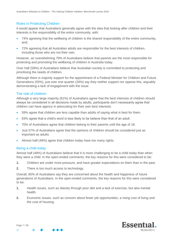# <span id="page-6-0"></span>Roles in Protecting Children

It would appear that Australians generally agree with the idea that looking after children and their interests is the responsibility of the entire community, with:

- 74% agreeing that the wellbeing of children is the shared responsibility of the entire community, and;
- 72% agreeing that all Australian adults are responsible for the best interests of children, including those who are not their own.

However, an overwhelming 79% of Australians believe that parents are the most responsible for protecting and promoting the wellbeing of children in Australia today.

Over half (59%) of Australians believe that Australian society is committed to protecting and prioritising the needs of children.

Although there is majority support for the appointment of a Federal Minister for Children and Future Generations (55%), just over one quarter (26%) say they neither support nor oppose this, arguably demonstrating a lack of engagement with the issue.

# <span id="page-6-1"></span>The role of children

Although a very large majority (81%) of Australians agree that the best interests of children should always be considered in all decisions made by adults, participants don't necessarily agree that children can have agency in advocating for their own best interests:

- 59% agree that children are less capable than adults of saying what is best for them.
- 63% agree that a child's word is less likely to be believe than that of an adult.
- 70% of Australians agree that children belong to their parents until the age of 18.
- Just 57% of Australians agree that the opinions of children should be considered just as important as adults.
- Almost half (49%) agree that children today have too many rights.

#### <span id="page-6-2"></span>Being a child today

Almost half (48%) of Australians believe that it is more challenging to be a child today than when they were a child. In the open-ended comments, the key reasons for this were considered to be:

- **1.** Children are under more pressure, and have greater expectations on them than in the past.
- **2.** There is too much access to technology.

Overall, 80% of Australians say they are concerned about the health and happiness of future generations of Australians. In the open-ended comments, the key reasons for this were considered to be:

- **1.** Health issues, such as obesity through poor diet and a lack of exercise, but also mental health.
- **2.** Economic issues, such as concern about fewer job opportunities, a rising cost of living and the cost of housing.

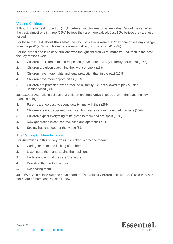# <span id="page-7-0"></span>Valuing Children

Although the largest proportion (44%) believe that children today are valued 'about the same' as in the past, almost one in three (29%) believe they are more valued. Just 16% believe they are less valued.

For those that said '**about the same'**, the key justifications were that 'they cannot see any change from the past' (28%) or 'children are always valued, no matter what' (27%).

For the almost one third of Australians who thought children were '**more valued**' than in the past, the key reasons were:

- **1.** Children are listened to and respected (have more of a say in family decisions) (18%).
- **2.** Children are given everything they want or spoilt (13%).
- **3.** Children have more rights and legal protection than in the past (10%).
- **4.** Children have more opportunities (10%).
- **5.** Children are protected/over-protected by family (i.e. not allowed to play outside unsupervised (8%).

Just 16% of Australians believe that children are '**less valued**' today than in the past, the key reasons being:

- **1.** Parents are too busy to spend quality time with their (25%).
- **2.** Children are not disciplined, not given boundaries and/or have bad manners (15%).
- **3.** Children expect everything to be given to them and are spoilt (12%).
- **4.** New generation is self-centred, rude and apathetic (7%).
- **5.** Society has changed for the worse (5%).

#### <span id="page-7-1"></span>The Valuing Children Initiative

For Australians in this survey, valuing children in practice meant:

- **1.** Caring for them and looking after them.
- **2.** Listening to them and valuing their opinions.
- **3.** Understanding that they are 'the future'.
- **4.** Providing them with education.
- **5.** Respecting them.

Just 4% of Australians claim to have heard of 'The Valuing Children Initiative'. 91% said they had not heard of them, and 5% don't know.

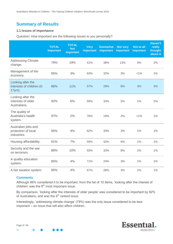# <span id="page-8-0"></span>**Summary of Results**

## **1.1 Issues of importance**

Question: How important are the following issues to you personally?

|                                                           | <b>TOTAL</b><br><b>Important</b> | <b>TOTAL</b><br><b>Not</b><br><b>Important</b> | <b>Very</b><br>important | <b>Somewhat</b><br>important | <b>Not very</b><br>important | Not at all<br>important | <b>Haven't</b><br>really<br>thought<br>about it |
|-----------------------------------------------------------|----------------------------------|------------------------------------------------|--------------------------|------------------------------|------------------------------|-------------------------|-------------------------------------------------|
| <b>Addressing Climate</b><br>change.                      | 79%                              | 19%                                            | 41%                      | 38%                          | 13%                          | 6%                      | 2%                                              |
| Management of the<br>economy.                             | 95%                              | 3%                                             | 63%                      | 32%                          | 3%                           | $< 1\%$                 | $1\%$                                           |
| Looking after the<br>interests of children (0-<br>17yrs). | 86%                              | 11%                                            | 57%                      | 29%                          | 8%                           | 3%                      | 3%                                              |
| Looking after the<br>interests of older<br>Australians.   | 92%                              | 6%                                             | 59%                      | 33%                          | 5%                           | 1%                      | 2%                                              |
| The quality of<br>Australia's health<br>system.           | 97%                              | 2%                                             | 78%                      | 19%                          | 2%                           | $< 1\%$                 | $1\%$                                           |
| Australian jobs and<br>protection of local<br>industries. | 95%                              | 4%                                             | 62%                      | 33%                          | 3%                           | 1%                      | $1\%$                                           |
| Housing affordability.                                    | 91%                              | 7%                                             | 59%                      | 32%                          | 6%                           | 1%                      | $1\%$                                           |
| Security and the war<br>on terrorism.                     | 88%                              | 10%                                            | 55%                      | 33%                          | 8%                           | 2%                      | 1%                                              |
| A quality education<br>system.                            | 95%                              | 4%                                             | 71%                      | 24%                          | 3%                           | 1%                      | 1%                                              |
| A fair taxation system.                                   | 95%                              | 4%                                             | 67%                      | 28%                          | 3%                           | 1%                      | 1%                                              |

#### **Comments**

Although 86% considered it to be important, from the list of 10 items, 'looking after the interest of children' was the  $9<sup>th</sup>$  most important issue.

By comparison, 'looking after the interests of older people' was considered to be important by 92% of Australians, and was the  $6<sup>th</sup>$  ranked issue.

Interestingly, 'addressing climate change' (79%) was the only issue considered to be less important – an issue that will also affect children.

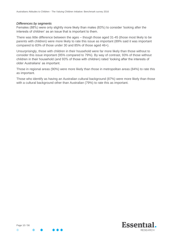#### *Differences by segments*

Females (88%) were only slightly more likely than males (83%) to consider 'looking after the interests of children' as an issue that is important to them.

There was little difference between the ages – though those aged 31-45 (those most likely to be parents with children) were more likely to rate this issue as important (89% said it was important compared to 83% of those under 30 and 85% of those aged 46+).

Unsurprisingly, those with children in their household were far more likely than those without to consider this issue important (95% compared to 79%). By way of contrast, 93% of those without children in their household (and 93% of those with children) rated 'looking after the interests of older Australians' as important.

Those in regional areas (90%) were more likely than those in metropolitan areas (84%) to rate this as important.

Those who identify as having an Australian cultural background (87%) were more likely than those with a cultural background other than Australian (79%) to rate this as important.

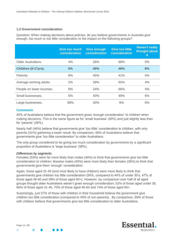#### **1.2 Government consideration**

Question: When making decisions about policies, do you believe governments in Australia give enough, too much or too little consideration to the impact on the following groups?

|                           | <b>Give too much</b><br>consideration | <b>Give enough</b><br>consideration | <b>Give too little</b><br>consideration | <b>Haven't really</b><br>thought about<br><b>it</b> |
|---------------------------|---------------------------------------|-------------------------------------|-----------------------------------------|-----------------------------------------------------|
| <b>Older Australians.</b> | 4%                                    | 26%                                 | 66%                                     | 5%                                                  |
| Children (0-17yrs).       | 5%                                    | 40%                                 | 46%                                     | 8%                                                  |
| Parents.                  | 8%                                    | 45%                                 | 41%                                     | 5%                                                  |
| Average working adults.   | 2%                                    | 39%                                 | 55%                                     | 4%                                                  |
| People on lower incomes.  | 6%                                    | 24%                                 | 66%                                     | 4%                                                  |
| Small businesses.         | 5%                                    | 40%                                 | 49%                                     | 6%                                                  |
| Large businesses.         | 58%                                   | 30%                                 | 6%                                      | 6%                                                  |

#### **Comments**

40% of Australians believe that the government gives 'enough consideration' to children when making decisions. This is the same figure as for 'small business' (40%) and just slightly less than for 'parents' (45%).

Nearly half (46%) believe that governments give 'too little' consideration to children, with only parents (41%) gathering a lower result. By comparison, 66% of Australians believe that governments give 'too little consideration' to older Australians.

The only group considered to be giving too much consideration by governments by a significant proportion of Australians is 'large business' (58%).

#### *Differences by segments*

Females (53%) were far more likely than males (40%) to think that governments give too little consideration to children; likewise males (45%) were more likely than females (36%) to think that governments give them 'enough' consideration.

Again, those aged 31-45 (and most likely to have children) were more likely to think that governments give children too little consideration (54%, compared to 44% of under 30's, 47% of those aged 46-60 and 39% of those aged 60+). However, by comparison over half of all aged groups thought older Australians weren't given enough consideration; 52% of those aged under 30, 66% of those aged 31-45, 70% of those aged 46-60 and 74% of those aged 60+.

Surprisingly, just 57% of those with children in their household believe the government give children too little consideration (compared to 40% of non-parents). By comparison, 66% of those with children believe that governments give too little consideration to older Australians.

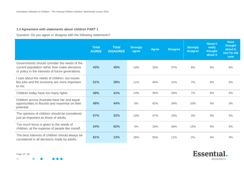# **1.3 Agreement with statements about children PART 1**

Question: Do you agree or disagree with the following statements?

|                                                                                                                                                    | <b>Total</b><br><b>AGREE</b> | <b>Total</b><br><b>DISAGREE</b> | <b>Strongly</b><br>agree | <b>Agree</b> | <b>Disagree</b> | <b>Strongly</b><br>disagree | <b>Haven't</b><br>really<br>thought<br>about it | <b>Have</b><br>thought<br>about it,<br>but I'm not<br>sure |
|----------------------------------------------------------------------------------------------------------------------------------------------------|------------------------------|---------------------------------|--------------------------|--------------|-----------------|-----------------------------|-------------------------------------------------|------------------------------------------------------------|
| Governments should consider the needs of the<br>current population rather than make decisions<br>or policy in the interests of future generations. | 43%                          | 45%                             | 10%                      | 33%          | 37%             | 8%                          | 6%                                              | 6%                                                         |
| care about the needs of children, but issues<br>like jobs and the economy are more important<br>to me.                                             | 51%                          | 38%                             | 11%                      | 40%          | 31%             | 7%                          | 6%                                              | 5%                                                         |
| Children today have too many rights.                                                                                                               | 49%                          | 41%                             | 14%                      | 35%          | 34%             | 7%                          | 6%                                              | 5%                                                         |
| Children across Australia have fair and equal<br>opportunities to flourish and maximise on their<br>potential.                                     | 48%                          | 44%                             | 6%                       | 42%          | 34%             | 10%                         | 5%                                              | 3%                                                         |
| The opinions of children should be considered<br>just as important as those of adults.                                                             | 57%                          | 32%                             | 10%                      | 47%          | 29%             | 3%                          | 5%                                              | 5%                                                         |
| Too much focus is given to the needs of<br>children, at the expense of people like myself.                                                         | 24%                          | 62%                             | 5%                       | 19%          | 49%             | 13%                         | 9%                                              | 5%                                                         |
| The best interests of children should always be<br>considered in all decisions made by adults.                                                     | 81%                          | 13%                             | 26%                      | 55%          | 11%             | 2%                          | 4%                                              | 3%                                                         |

Page 12 / 56

 $\bullet$ 

 $\bullet$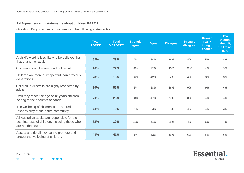# **1.4 Agreement with statements about children PART 2**

Question: Do you agree or disagree with the following statements?

|                                                                                                                        | <b>Total</b><br><b>AGREE</b> | <b>Total</b><br><b>DISAGREE</b> | <b>Strongly</b><br>agree | <b>Agree</b> | <b>Disagree</b> | <b>Strongly</b><br>disagree | Haven't<br>really<br>thought<br>about it | <b>Have</b><br>thought<br>about it,<br>but I'm not<br>sure |
|------------------------------------------------------------------------------------------------------------------------|------------------------------|---------------------------------|--------------------------|--------------|-----------------|-----------------------------|------------------------------------------|------------------------------------------------------------|
| A child's word is less likely to be believed than<br>that of another adult.                                            | 63%                          | 28%                             | 9%                       | 54%          | 24%             | 4%                          | 5%                                       | 4%                                                         |
| Children should be seen and not heard.                                                                                 | 16%                          | <b>77%</b>                      | 4%                       | 12%          | 45%             | 32%                         | 4%                                       | 3%                                                         |
| Children are more disrespectful than previous<br>generations.                                                          | 78%                          | 16%                             | 36%                      | 42%          | 12%             | 4%                          | 3%                                       | 3%                                                         |
| Children in Australia are highly respected by<br>adults.                                                               | 30%                          | 55%                             | 2%                       | 28%          | 46%             | 9%                          | 9%                                       | 6%                                                         |
| Until they reach the age of 18 years children<br>belong to their parents or carers.                                    | 70%                          | 23%                             | 23%                      | 47%          | 20%             | 3%                          | 4%                                       | 4%                                                         |
| The wellbeing of children is the shared<br>responsibility of the entire community.                                     | 74%                          | 19%                             | 21%                      | 53%          | 15%             | 4%                          | 4%                                       | 3%                                                         |
| All Australian adults are responsible for the<br>best interests of children, including those who<br>are not their own. | 72%                          | 19%                             | 21%                      | 51%          | 15%             | 4%                          | 6%                                       | 4%                                                         |
| Australians do all they can to promote and<br>protect the wellbeing of children.                                       | 48%                          | 41%                             | 6%                       | 42%          | 36%             | 5%                          | 5%                                       | 5%                                                         |

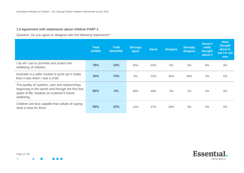# **1.5 Agreement with statements about children PART 3**

Question: Do you agree or disagree with the following statements?

|                                                                                                                                                                   | <b>Total</b><br><b>AGREE</b> | <b>Total</b><br><b>DISAGRE</b> | <b>Strongly</b><br>agree | <b>Agree</b> | <b>Disagree</b> | <b>Strongly</b><br>disagree | Haven't<br>really<br>thought<br>about it | <b>Have</b><br>thought<br>about it,<br>but I'm not<br><b>sure</b> |
|-------------------------------------------------------------------------------------------------------------------------------------------------------------------|------------------------------|--------------------------------|--------------------------|--------------|-----------------|-----------------------------|------------------------------------------|-------------------------------------------------------------------|
| I do all I can to promote and protect the<br>wellbeing of children.                                                                                               | 78%                          | 10%                            | 25%                      | 53%          | 8%              | 2%                          | 9%                                       | 3%                                                                |
| Australia is a safer society to grow up in today<br>than it was when I was a child.                                                                               | 16%                          | 75%                            | 3%                       | 13%          | 45%             | 30%                         | 4%                                       | 5%                                                                |
| The quality of nutrition, care and relationships,<br>beginning in the womb and through the first few<br>years of life, impacts on a person's future<br>wellbeing. | 89%                          | 5%                             | 40%                      | 49%          | 4%              | $1\%$                       | 4%                                       | 3%                                                                |
| Children are less capable than adults of saying<br>what is best for them.                                                                                         | 59%                          | 32%                            | 12%                      | 47%          | 28%             | 4%                          | 4%                                       | 5%                                                                |

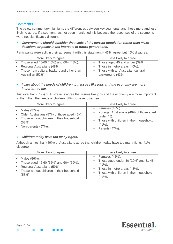# **Comments**

The below commentary highlights the differences between key segments, and those more and less likely to agree. If a segment has not been mentioned it is because the responses of the segments were not significantly different.

 *Governments should consider the needs of the current population rather than make decisions or policy in the interests of future generations.*

Participants were split in their agreement with this statement – 43% agree, but 45% disagree.

|               | More likely to agree                      | Less likely to agree                |
|---------------|-------------------------------------------|-------------------------------------|
| <b>Burney</b> | Those aged 46-60 (45%) and 60+ (48%).     | • Those aged 45 and under (39%).    |
|               | Regional Australians (48%).               | • Those in metro areas (40%).       |
| m.            | Those from cultural background other than | • Those with an Australian cultural |
|               | Australian (52%).                         | background (43%).                   |

 *I care about the needs of children, but issues like jobs and the economy are more important to me.*

Just over half (51%) of Australians agree that issues like jobs and the economy are more important to them than the needs of children. 38% however disagree.

| More likely to agree                         | Less likely to agree                     |
|----------------------------------------------|------------------------------------------|
| Males (57%).                                 | $\blacksquare$ Females (46%).            |
| $\blacksquare$                               | " Younger Australians (46% of those aged |
| • Older Australians (57% of those aged 45+). | under 45).                               |
| • Those without children in their household  | Those with children in their household.  |
| $(58%)$ .                                    | m.                                       |
| Non-parents (57%).                           | $(41\%)$ .                               |
| $\mathbf{R}^{\text{max}}$                    | $\blacksquare$ Parents (47%).            |

#### *Children today have too many rights.*

Although almost half (49%) of Australians agree that children today have too many rights, 41% disagree.

|               | More likely to agree                                                                                                                             | Less likely to agree                                                                                                                                                                                   |
|---------------|--------------------------------------------------------------------------------------------------------------------------------------------------|--------------------------------------------------------------------------------------------------------------------------------------------------------------------------------------------------------|
| <b>Burney</b> | ■ Males (56%).<br>Those aged 46-60 (55%) and $60+ (69%)$ .<br>Regional Australians (59%).<br>Those without children in their household<br>(58%). | $\blacksquare$ Females (42%).<br>Those aged under 30 (29%) and 31-45<br>ш<br>$(41\%)$ .<br>Those in metro areas (43%).<br>m.<br>Those with children in their household<br>$\blacksquare$<br>$(41\%)$ . |



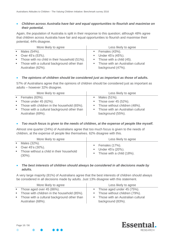# *Children across Australia have fair and equal opportunities to flourish and maximise on their potential.*

Again, the population of Australia is split in their response to this question; although 48% agree that children across Australia have fair and equal opportunities to flourish and maximise their potential, 44% disagree.

| More likely to agree                            | Less likely to agree                    |
|-------------------------------------------------|-----------------------------------------|
| $\blacksquare$ Males (54%).                     | Females (43%).                          |
| • Over $45$ 's $(53%)$ .                        | Under $45$ 's $(45%)$ .                 |
| • Those with no child in their household (51%). | $\blacksquare$ Those with a child (45). |
| • Those with a cultural background other than   | • Those with an Australian cultural     |
| Australian (62%).                               | background (47%).                       |

#### *The opinions of children should be considered just as important as those of adults.*

57% of Australians agree that the opinions of children should be considered just as important as adults – however 32% disagree.

| More likely to agree                          | Less likely to agree                |
|-----------------------------------------------|-------------------------------------|
| $\blacksquare$ Females (63%).                 | $\blacksquare$ Males (51%).         |
| $\blacksquare$ Those under 45 (62%).          | $\blacksquare$ Those over 45 (52%). |
| • Those with children in the household (65%). | • Those without children (48%).     |
| • Those with a cultural background other than | • Those with an Australian cultural |
| Australian (69%).                             | background (55%).                   |

## *Too much focus is given to the needs of children, at the expense of people like myself.*

Almost one quarter (24%) of Australians agree that too much focus is given to the needs of children, at the expense of people like themselves. 62% disagree with this.

|                | More likely to agree                                                                                  | Less likely to agree                                                                             |
|----------------|-------------------------------------------------------------------------------------------------------|--------------------------------------------------------------------------------------------------|
| $\mathbf{m}$ . | Males (32%).<br>• Over $45$ 's $(30\%)$ .<br>• Those without a child in their household<br>$(30\%)$ . | $\blacksquare$ Females (17%).<br>$\blacksquare$ Under 45's (20%).<br>• Those with a child (18%). |

#### *The best interests of children should always be considered in all decisions made by adults.*

A very large majority (81%) of Australians agree that the best interests of children should always be considered in all decisions made by adults. Just 13% disagree with this statement.

| More likely to agree                                               | Less likely to agree                                     |
|--------------------------------------------------------------------|----------------------------------------------------------|
| $\blacksquare$ Those aged over 45 (86%).                           | $\blacksquare$ Those aged under 45 (75%).                |
| • Those with children in the household (85%).                      | • Those without children (79%).                          |
| • Those with a cultural background other than<br>Australian (68%). | • Those with an Australian cultural<br>background (83%). |
|                                                                    |                                                          |

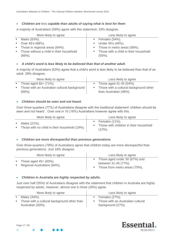# *Children are* less *capable than adults of saying what is best for them*

A majority of Australians (59%) agree with this statement. 33% disagree.

| More likely to agree                               | Less likely to agree                                  |
|----------------------------------------------------|-------------------------------------------------------|
| Males (63%).                                       | $\blacksquare$ Females (54%).                         |
| $\blacksquare$ Over 45's (68%).                    | $\blacksquare$ Under 45's (49%).                      |
| • Those in regional areas (64%).                   | • Those in metro areas (56%).                         |
| Those without a child in their household<br>(66%). | • Those with a child in their household<br>$(55\%)$ . |

# *A child's word is less likely to be believed than that of another adult.*

A majority of Australians (63%) agree that a child's word is less likely to be believed than that of an adult. 28% disagree.

| More likely to agree                                         | Less likely to agree                                               |
|--------------------------------------------------------------|--------------------------------------------------------------------|
| <b>Those aged 60+ (71%).</b>                                 | • Those aged $31-45$ (54%).                                        |
| • Those with an Australian cultural background<br>$(66\%)$ . | • Those with a cultural background other<br>than Australian (48%). |

# *Children should be seen and not heard.*

Over three-quarters (77%) of Australians disagree with the traditional statement 'children should be seen and not heard'. Over one in 10 (16%) Australians however agree with this.

|               | More likely to agree                                            | Less likely to agree                                                                    |
|---------------|-----------------------------------------------------------------|-----------------------------------------------------------------------------------------|
| <b>Burney</b> | Males (21%).<br>• Those with no child in their household (19%). | $\blacksquare$ Females (11%).<br>• Those with children in their household<br>$(12\%)$ . |

# *Children are more disrespectful than previous generations*

Over three-quarters (78%) of Australians agree that children today are more disrespectful than previous generations. Just 16% disagree.

| More likely to agree         | Less likely to agree            |
|------------------------------|---------------------------------|
| <b>Those aged 45+ (83%).</b> | • Those aged under 30 (67%) and |
| Regional Australians (84%).  | between 31-45 (77%).            |
| <b>Contract</b>              | Those from metro areas (75%).   |

#### *Children in Australia are highly respected by adults.*

Just over half (55%) of Australians disagree with the statement that children in Australia are highly respected by adults. However, almost one in three (30%) agree.

| More likely to agree                        | Less likely to agree                |
|---------------------------------------------|-------------------------------------|
| Males (34%).                                | $\blacksquare$ Females (27%).       |
| Those with a cultural background other than | • Those with an Australian cultural |
| Australian (50%).                           | background (27%).                   |

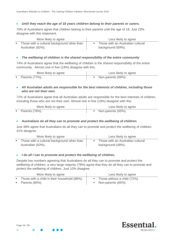# *Until they reach the age of 18 years children belong to their parents or carers.*

70% of Australians agree that children belong to their parents until the age of 18. Just 23% disagree with this statement.

| More likely to agree                        | Less likely to agree                |  |
|---------------------------------------------|-------------------------------------|--|
| Those with a cultural background other than | • Those with an Australian cultural |  |
| Australian (82%).                           | background (69%).                   |  |

# *The wellbeing of children is the shared responsibility of the entire community*

74% of Australians agree that the wellbeing of children is the shared responsibility of the entire community. Almost one in five (19%) disagree with this.

| More likely to agree          | Less likely to agree |
|-------------------------------|----------------------|
| $\blacksquare$ Parents (77%). | ■ Non-parents (69%). |

## *All Australian adults are responsible for the best interests of children, including those who are not their own.*

72% of Australians agree that all Australian adults are responsible for the best interests of children, including those who are not their own. Almost one in five (19%) disagree with this.

| More likely to agree          | Less likely to agree |
|-------------------------------|----------------------|
| $\blacksquare$ Parents (76%). | Non-parents (65%).   |

## *Australians do all they can to promote and protect the wellbeing of children.*

Just 48% agree that Australians do all they can to promote and protect the wellbeing of children. 41% disagree.

| More likely to agree                        | Less likely to agree                |
|---------------------------------------------|-------------------------------------|
| Those with a cultural background other than | • Those with an Australian cultural |
| Australian (63%).                           | background (48%).                   |

#### *I do all I can to promote and protect the wellbeing of children.*

Despite low numbers agreeing that Australians do all they can to promote and protect the wellbeing of children, a very large majority (78%) agree that they do all they can to promote and protect the wellbeing of children. Just 10% disagree.

| More likely to agree                           | Less likely to agree                        |  |
|------------------------------------------------|---------------------------------------------|--|
| • Those with a child in their household (88%). | $\blacksquare$ Those without a child (72%). |  |
| $\blacksquare$ Parents (85%).                  | Non-parents (65%).                          |  |

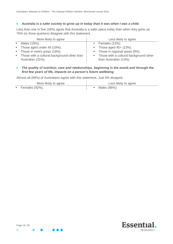## *Australia is a safer society to grow up in today than it was when I was a child.*

Less than one in five (16%) agree that Australia is a safer place today than when they grew up. 75% (or three quarters) disagree with this statement.

| More likely to agree                          | Less likely to agree                     |
|-----------------------------------------------|------------------------------------------|
| ■ Males (19%).                                | $\blacksquare$ Females (12%).            |
| $\blacksquare$ Those aged under 45 (19%).     | <b>Those aged 45+ (13%).</b>             |
| • Those in metro areas (19%).                 | • Those in regional areas (9%).          |
| • Those with a cultural background other than | • Those with a cultural background other |
| Australian (31%).                             | than Australian (13%).                   |

 *The quality of nutrition, care and relationships, beginning in the womb and through the first few years of life, impacts on a person's future wellbeing.*

Almost all (89%) of Australians agree with this statement. Just 5% disagree.

| More likely to agree          | Less likely to agree |
|-------------------------------|----------------------|
| $\blacksquare$ Females (92%). | Males (86%).         |

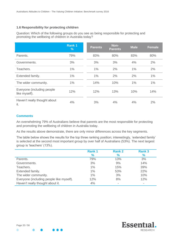# **1.6 Responsibility for protecting children**

Question: Which of the following groups do you see as being responsible for protecting and promoting the wellbeing of children in Australia today?

|                                              | Rank 1<br>% | <b>Parents</b> | Non-<br><b>Parents</b> | <b>Male</b> | <b>Female</b> |
|----------------------------------------------|-------------|----------------|------------------------|-------------|---------------|
| Parents.                                     | 79%         | 83%            | 80%                    | 83%         | 80%           |
| Governments.                                 | 3%          | 3%             | 3%                     | 4%          | 2%            |
| Teachers.                                    | 1%          | 1%             | 2%                     | 1%          | 2%            |
| Extended family.                             | 1%          | 1%             | 2%                     | 2%          | $1\%$         |
| The wider community.                         | 1%          | 14%            | 10%                    | 1%          | 1%            |
| Everyone (including people)<br>like myself). | 12%         | 12%            | 13%                    | 10%         | 14%           |
| Haven't really thought about<br>it.          | 4%          | 3%             | 4%                     | 4%          | 2%            |

#### **Comments**

An overwhelming 79% of Australians believe that parents are the most responsible for protecting and promoting the wellbeing of children in Australia today.

As the results above demonstrate, there are only minor differences across the key segments.

The table below shows the results for the top three ranking position; interestingly, 'extended family' is selected at the second most important group by over half of Australians (53%). The next largest group is 'teachers' (13%).

|                                          | <b>Rank1</b> | <b>Rank 2</b>            | <b>Rank 3</b>            |
|------------------------------------------|--------------|--------------------------|--------------------------|
|                                          | %            | $\%$                     | $\frac{9}{6}$            |
| Parents.                                 | 79%          | 13%                      | 3%                       |
| Governments.                             | 3%           | 9%                       | 14%                      |
| Teachers.                                | 1%           | 15%                      | 39%                      |
| Extended family.                         | 1%           | 53%                      | 22%                      |
| The wider community.                     | 1%           | 3%                       | 10%                      |
| Everyone (including people like myself). | 12%          | 8%                       | 12%                      |
| Haven't really thought about it.         | 4%           | $\overline{\phantom{a}}$ | $\overline{\phantom{a}}$ |

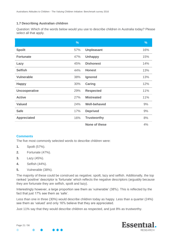# **1.7 Describing Australian children**

Question: Which of the words below would you use to describe children in Australia today? Please select all that apply.

|                      | $\frac{9}{6}$ |                     | %   |
|----------------------|---------------|---------------------|-----|
| <b>Spoilt</b>        | 57%           | <b>Unpleasant</b>   | 16% |
| <b>Fortunate</b>     | 47%           | <b>Unhappy</b>      | 15% |
| Lazy                 | 45%           | <b>Dishonest</b>    | 14% |
| <b>Selfish</b>       | 44%           | <b>Honest</b>       | 13% |
| <b>Vulnerable</b>    | 38%           | Ignored             | 13% |
| <b>Happy</b>         | 30%           | <b>Caring</b>       | 12% |
| <b>Uncooperative</b> | 29%           | <b>Respected</b>    | 11% |
| <b>Active</b>        | 27%           | <b>Mistreated</b>   | 11% |
| <b>Valued</b>        | 24%           | <b>Well-behaved</b> | 9%  |
| <b>Safe</b>          | 17%           | <b>Deprived</b>     | 9%  |
| <b>Appreciated</b>   | 16%           | <b>Trustworthy</b>  | 8%  |
|                      |               | None of these       | 4%  |

# **Comments**

The five most commonly selected words to describe children were:

- **1.** Spoilt (57%).
- **2.** Fortunate (47%).
- **3.** Lazy (45%).
- **4.** Selfish (44%).
- **5.** Vulnerable (38%).

The majority of these could be construed as negative; spoilt, lazy and selfish. Additionally, the top ranked 'positive' descriptor is 'fortunate' which reflects the negative descriptors (arguably because they are fortunate they are selfish, spoilt and lazy).

Interestingly however, a large proportion see them as 'vulnerable' (38%). This is reflected by the fact that just 17% see them as 'safe'.

Less than one in three (30%) would describe children today as happy. Less than a quarter (24%) see them as 'valued' and only 16% believe that they are appreciated.

Just 11% say that they would describe children as respected, and just 8% as trustworthy.

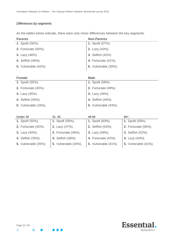# *Differences by segments*

As the tables below indicate, there were only minor differences between the key segments.

| <b>Parents</b>              | <b>Non-Parents</b>          |
|-----------------------------|-----------------------------|
| <b>1. Spoilt (56%).</b>     | 1. Spoilt (57%).            |
| <b>2.</b> Fortunate (50%).  | 2. Lazy (43%).              |
| 3. Lazy (46%).              | 3. Selfish (42%)            |
| 4. Selfish (46%).           | 4. Fortunate (41%).         |
| <b>5.</b> Vulnerable (42%). | <b>5.</b> Vulnerable (30%). |

| <b>Female</b>               | <b>Male</b>                 |
|-----------------------------|-----------------------------|
| <b>1.</b> Spoilt (55%).     | 1. Spoilt (58%).            |
| <b>2.</b> Fortunate (45%).  | 2. Fortunate (49%).         |
| 3. Lazy (45%).              | 3. Lazy $(45%)$ .           |
| 4. Selfish (45%).           | 4. Selfish (44%).           |
| <b>5.</b> Vulnerable (33%). | <b>5.</b> Vulnerable (43%). |

| Under 30                    | $31 - 45$                   | 46-60                       | $60+$                       |
|-----------------------------|-----------------------------|-----------------------------|-----------------------------|
| <b>1.</b> Spoilt (50%).     | <b>1.</b> Spoilt (56%).     | 1. Spoilt (60%).            | 1. Spoilt (59%).            |
| <b>2.</b> Fortunate (42%).  | 2. Lazy (47%).              | 2. Selfish (53%).           | <b>2.</b> Fortunate (56%).  |
| 3. Lazy (40%).              | <b>3. Fortunate (46%).</b>  | 3. Lazy (49%).              | 3. Selfish (52%).           |
| 4. Selfish (35%).           | 4. Selfish (38%).           | 4. Fortunate (42%).         | 4. Lazy (43%).              |
| <b>5.</b> Vulnerable (35%). | <b>5.</b> Vulnerable (34%). | <b>5.</b> Vulnerable (41%). | <b>5.</b> Vulnerable (41%). |



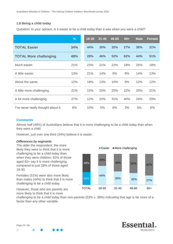# **1.8 Being a child today**

Question: In your opinion, is it easier to be a child today than it was when you were a child?

|                                     | %   | 18-30 | $31 - 45$ | 46-60 | $60+$ | <b>Male</b> | <b>Female</b> |
|-------------------------------------|-----|-------|-----------|-------|-------|-------------|---------------|
| <b>TOTAL Easier</b>                 | 34% | 44%   | 35%       | 32%   | 27%   | 38%         | 31%           |
| <b>TOTAL More challenging</b>       | 48% | 28%   | 46%       | 52%   | 62%   | 44%         | 51%           |
| Much easier.                        | 21% | 23%   | 21%       | 23%   | 18%   | 25%         | 18%           |
| A little easier.                    | 13% | 21%   | 14%       | 9%    | 9%    | 14%         | 13%           |
| About the same.                     | 12% | 18%   | 13%       | 10%   | 9%    | 12%         | 12%           |
| A little more challenging.          | 21% | 15%   | 25%       | 20%   | 22%   | 20%         | 21%           |
| A lot more challenging.             | 27% | 12%   | 22%       | 31%   | 40%   | 24%         | 29%           |
| I've never really thought about it. | 6%  | 10%   | 5%        | 6%    | 3%    | 5%          | 6%            |

#### **Comments**

Almost half (48%) of Australians believe that it is more challenging to be a child today than when they were a child.

However, just over one third (34%) believe it is easier.

#### *Differences by segments*

The older the respondent, the more likely they were to think that it is more challenging to be a child today than when they were children; 62% of those aged 60+ say it is more challenging, compared to just 28% of those aged 18-30.

Females (51%) were also more likely than males (44%) to think that it is more challenging to be a child today.

However, those who are parents are more likely to think that it is more



challenging to be a child today than non-parents (53% v. 38%) indicating that age is far more of a factor than any other variable.

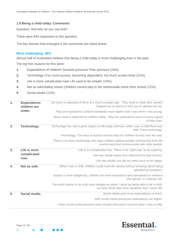## **1.9 Being a child today: Comments**

Question: And why do you say that?

There were 944 responses to this question.

The key themes that emerged in the comments are listed below.

#### **More challenging: 48%**

Almost half of Australians believe that being a child today is more challenging than in the past. The top five reasons for this were:

- **1.** Expectations of children/ Societal pressure/ Peer pressure (24%).
- **2.** Technology (Too much access, becoming dependent, too much screen time) (21%).
- **3.** Life is more complicated now/ Life used to be simpler (14%).
- **4.** Not as safe/Safety issues (children cannot play in the streets/walk home from school (12%).
- **5.** Social media (11%).

| 1.                               | <b>Expectations</b><br>children are | So much is expected of them at a much younger age. They need to have their careers<br>mapped out as teens or miss out on getting into uni.    |
|----------------------------------|-------------------------------------|-----------------------------------------------------------------------------------------------------------------------------------------------|
|                                  | under.                              | They are expected to achieve standards much higher than I was when I was young.                                                               |
|                                  |                                     | Much more is expected of children today. They are expected to excel in every aspect<br>of their lives.                                        |
| 2.                               | Technology.                         | Technology has had a great impact on life today whereas when I was a child there was<br>little, if any technology.                            |
|                                  |                                     | Technology. Too easy to access and too easy for children to trust over the web.                                                               |
|                                  |                                     | There is so much technology that stops children getting outside and learning from the<br>environment and communicate with other people.       |
| 3.                               | Life is more<br>complicated<br>now. | Life is so complicated now. There is no "right way" to do anything.                                                                           |
|                                  |                                     | Life was simple easier less influenced by bad choices.                                                                                        |
|                                  |                                     | Life was simple you did not need much to be happy.                                                                                            |
| $\overline{4}$ .<br>Not as safe. |                                     | When I was a child, children could roam the streets without worrying about being<br>attacked by predators.                                    |
|                                  |                                     | Society is more dangerous, children are more exposed to and normalised on violence<br>thru games, tv, internet, etc.                          |
|                                  |                                     | The world seems to be a far more dangerous place. I grew up being able to be a child,<br>so many these days face situations that I never did. |
| 5.                               | Social media.                       | Social media puts more expectations on them.                                                                                                  |
|                                  |                                     | With social media pressures expectations are higher.                                                                                          |
|                                  |                                     | I think social media presents many threats that weren't around when I was a child.                                                            |

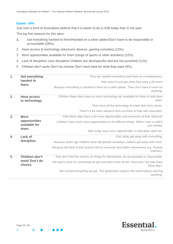# **Easier: 34%**

Just over a third of Australians believe that it is easier to be a child today than in the past

The top five reasons for this were:

- **1.** Get everything handed to them/Handed on a silver platter/Don't have to be responsible or accountable (28%).
- 2 Have access to technology (electronic devices, gaming consoles) (22%).
- 3 More opportunities available for them (range of sports or other activities) (12%).
- 4 Lack of discipline/ Less discipline/ Children are disrespectful and are not punished (11%).
- 5 Children don't work/ Don't do chores/ Don't work hard for what they want (9%).

| 1.                                         | <b>Get everything</b>                   | They are handed everything and have no consequences.                                                   |
|--------------------------------------------|-----------------------------------------|--------------------------------------------------------------------------------------------------------|
|                                            | handed to                               | Kids seem to just get what they want a bit more!                                                       |
|                                            | them.                                   | Because everything is handed to them on a silver platter. They don't have to work for<br>anything.     |
| 2.<br><b>Have access</b><br>to technology. |                                         | Children these days have so much technology etc available for them to help them<br>learn.              |
|                                            |                                         | They have all the technology to make their lives easier.                                               |
|                                            |                                         | There's a lot more advance tech out there to help with education.                                      |
| 3.                                         | <b>More</b>                             | Kids these days have a lot more opportunities and resources at their disposal.                         |
|                                            | opportunities<br>available for<br>them. | Children have much more opportunities to do different things. When I was a child it<br>was limited.    |
|                                            |                                         | Kids today have more opportunities in education sport etc.                                             |
| $\mathbf{4}$                               | Lack of                                 | Kids today get away with everything.                                                                   |
|                                            | discipline.                             | Because years ago children were disciplined nowadays children get away with more.                      |
|                                            |                                         | Because the fault of their actions fall on everyone else before themselves e.g. Parents<br>, teachers. |
| 5.                                         | Children don't                          | Kids don't feel the need to do things for themselves, be accountable or responsible.                   |
|                                            | work/Don't do<br>chores.                | We had to work for everything we got and didn't have all the "mod cons" the kids have<br>these days.   |
|                                            |                                         | We earned everything we got. This generation expects the world without earning<br>anything.            |

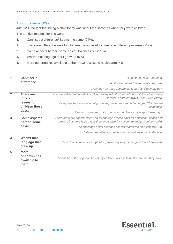#### **About the same: 12%**

Just 12% thought that being a child today was 'about the same' as when they were children.

The top five reasons for this were:

- **1.** Can't see a difference/ Seems the same (24%).
- **2.** There are different issues for children these days/Children face different problems (21%).
- **3.** Some aspects harder, some easier, balances out (21%).
- **4.** Wasn't that long ago that I grew up (6%).
- **5.** More opportunities available to them (e.g. access to healthcare) (4%).

| 1.               | Can't see a                                           | Nothing has really changed.                                                                                                                                               |
|------------------|-------------------------------------------------------|---------------------------------------------------------------------------------------------------------------------------------------------------------------------------|
|                  | difference.                                           | Australian values haven't really changed.                                                                                                                                 |
|                  |                                                       | I feel they do have opportunity today just like in my day.                                                                                                                |
| 2.               | There are<br>different                                | There are different threats to children today with the internet but I still think there were<br>threats in different ways when I was young.                               |
|                  | issues for<br>children these                          | Every age has its own set of problems, challenges and advantages. Children are<br>adaptable.                                                                              |
|                  | days.                                                 | We had challenges back then and they have challenges these days.                                                                                                          |
| 3.               | <b>Some aspects</b><br>harder, some                   | There are more opportunities and technologies these days for education, health and<br>growth, but there is also less time and space for adventure and just being a child. |
|                  | easier.                                               | The challenge never changes doesn't matter the time you grow up.                                                                                                          |
|                  |                                                       | Different benefits and challenges but weighs equal in the end.                                                                                                            |
| $\overline{4}$ . | <b>Wasn't that</b><br>long ago that I<br>grew up.     | I don't think there is enough of a gap for any major change to have happened.                                                                                             |
| 5.               | <b>More</b><br>opportunities<br>available to<br>them. | I didn't have the opportunities of my children, access to healthcare that they have.                                                                                      |

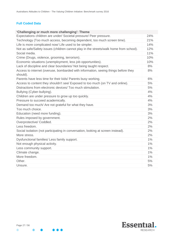# **Full Coded Data**

| Expectations children are under/ Societal pressure/ Peer pressure.<br>24%<br>Technology (Too much access, becoming dependent, too much screen time).<br>21%<br>Life is more complicated now/ Life used to be simpler.<br>14%<br>Not as safe/Safety issues (children cannot play in the streets/walk home from school).<br>12%<br>Social media.<br>11%<br>10%<br>Crime (Drugs, violence, grooming, terrorism).<br>Economic situations (unemployment, less job opportunities).<br>10%<br>Lack of discipline and clear boundaries/ Not being taught respect.<br>8%<br>Access to internet (overuse, bombarded with information, seeing things before they<br>8%<br>should).<br>6%<br>Parents have less time for their kids/ Parents busy working.<br>5%<br>Access to content they shouldn't see/ Exposed to too much (on TV and online).<br>Distractions from electronic devices/ Too much stimulation.<br>5%<br>4%<br>Bullying (Cyber-bullying).<br>Children are under pressure to grow up too quickly.<br>4%<br>Pressure to succeed academically.<br>4%<br>3%<br>Demand too much/ Are not grateful for what they have.<br>Too much choice.<br>3%<br>Education (need more funding).<br>3%<br>Rules imposed by government.<br>2%<br>Overprotective/ Coddled.<br>2%<br>Less freedom.<br>2%<br>2%<br>Social isolation (not participating in conversation, looking at screen instead).<br>More stress.<br>2%<br>$1\%$<br>Dysfunctional families/ Less family support.<br>Not enough physical activity.<br>$1\%$<br>1%<br>Less community support.<br>Climate change.<br>$1\%$<br>More freedom.<br>$1\%$<br>Other.<br>5%<br>5%<br>Unsure. | 'Challenging or much more challenging': Theme |  |
|----------------------------------------------------------------------------------------------------------------------------------------------------------------------------------------------------------------------------------------------------------------------------------------------------------------------------------------------------------------------------------------------------------------------------------------------------------------------------------------------------------------------------------------------------------------------------------------------------------------------------------------------------------------------------------------------------------------------------------------------------------------------------------------------------------------------------------------------------------------------------------------------------------------------------------------------------------------------------------------------------------------------------------------------------------------------------------------------------------------------------------------------------------------------------------------------------------------------------------------------------------------------------------------------------------------------------------------------------------------------------------------------------------------------------------------------------------------------------------------------------------------------------------------------------------------------------------------------------------------------------------|-----------------------------------------------|--|
|                                                                                                                                                                                                                                                                                                                                                                                                                                                                                                                                                                                                                                                                                                                                                                                                                                                                                                                                                                                                                                                                                                                                                                                                                                                                                                                                                                                                                                                                                                                                                                                                                                  |                                               |  |
|                                                                                                                                                                                                                                                                                                                                                                                                                                                                                                                                                                                                                                                                                                                                                                                                                                                                                                                                                                                                                                                                                                                                                                                                                                                                                                                                                                                                                                                                                                                                                                                                                                  |                                               |  |
|                                                                                                                                                                                                                                                                                                                                                                                                                                                                                                                                                                                                                                                                                                                                                                                                                                                                                                                                                                                                                                                                                                                                                                                                                                                                                                                                                                                                                                                                                                                                                                                                                                  |                                               |  |
|                                                                                                                                                                                                                                                                                                                                                                                                                                                                                                                                                                                                                                                                                                                                                                                                                                                                                                                                                                                                                                                                                                                                                                                                                                                                                                                                                                                                                                                                                                                                                                                                                                  |                                               |  |
|                                                                                                                                                                                                                                                                                                                                                                                                                                                                                                                                                                                                                                                                                                                                                                                                                                                                                                                                                                                                                                                                                                                                                                                                                                                                                                                                                                                                                                                                                                                                                                                                                                  |                                               |  |
|                                                                                                                                                                                                                                                                                                                                                                                                                                                                                                                                                                                                                                                                                                                                                                                                                                                                                                                                                                                                                                                                                                                                                                                                                                                                                                                                                                                                                                                                                                                                                                                                                                  |                                               |  |
|                                                                                                                                                                                                                                                                                                                                                                                                                                                                                                                                                                                                                                                                                                                                                                                                                                                                                                                                                                                                                                                                                                                                                                                                                                                                                                                                                                                                                                                                                                                                                                                                                                  |                                               |  |
|                                                                                                                                                                                                                                                                                                                                                                                                                                                                                                                                                                                                                                                                                                                                                                                                                                                                                                                                                                                                                                                                                                                                                                                                                                                                                                                                                                                                                                                                                                                                                                                                                                  |                                               |  |
|                                                                                                                                                                                                                                                                                                                                                                                                                                                                                                                                                                                                                                                                                                                                                                                                                                                                                                                                                                                                                                                                                                                                                                                                                                                                                                                                                                                                                                                                                                                                                                                                                                  |                                               |  |
|                                                                                                                                                                                                                                                                                                                                                                                                                                                                                                                                                                                                                                                                                                                                                                                                                                                                                                                                                                                                                                                                                                                                                                                                                                                                                                                                                                                                                                                                                                                                                                                                                                  |                                               |  |
|                                                                                                                                                                                                                                                                                                                                                                                                                                                                                                                                                                                                                                                                                                                                                                                                                                                                                                                                                                                                                                                                                                                                                                                                                                                                                                                                                                                                                                                                                                                                                                                                                                  |                                               |  |
|                                                                                                                                                                                                                                                                                                                                                                                                                                                                                                                                                                                                                                                                                                                                                                                                                                                                                                                                                                                                                                                                                                                                                                                                                                                                                                                                                                                                                                                                                                                                                                                                                                  |                                               |  |
|                                                                                                                                                                                                                                                                                                                                                                                                                                                                                                                                                                                                                                                                                                                                                                                                                                                                                                                                                                                                                                                                                                                                                                                                                                                                                                                                                                                                                                                                                                                                                                                                                                  |                                               |  |
|                                                                                                                                                                                                                                                                                                                                                                                                                                                                                                                                                                                                                                                                                                                                                                                                                                                                                                                                                                                                                                                                                                                                                                                                                                                                                                                                                                                                                                                                                                                                                                                                                                  |                                               |  |
|                                                                                                                                                                                                                                                                                                                                                                                                                                                                                                                                                                                                                                                                                                                                                                                                                                                                                                                                                                                                                                                                                                                                                                                                                                                                                                                                                                                                                                                                                                                                                                                                                                  |                                               |  |
|                                                                                                                                                                                                                                                                                                                                                                                                                                                                                                                                                                                                                                                                                                                                                                                                                                                                                                                                                                                                                                                                                                                                                                                                                                                                                                                                                                                                                                                                                                                                                                                                                                  |                                               |  |
|                                                                                                                                                                                                                                                                                                                                                                                                                                                                                                                                                                                                                                                                                                                                                                                                                                                                                                                                                                                                                                                                                                                                                                                                                                                                                                                                                                                                                                                                                                                                                                                                                                  |                                               |  |
|                                                                                                                                                                                                                                                                                                                                                                                                                                                                                                                                                                                                                                                                                                                                                                                                                                                                                                                                                                                                                                                                                                                                                                                                                                                                                                                                                                                                                                                                                                                                                                                                                                  |                                               |  |
|                                                                                                                                                                                                                                                                                                                                                                                                                                                                                                                                                                                                                                                                                                                                                                                                                                                                                                                                                                                                                                                                                                                                                                                                                                                                                                                                                                                                                                                                                                                                                                                                                                  |                                               |  |
|                                                                                                                                                                                                                                                                                                                                                                                                                                                                                                                                                                                                                                                                                                                                                                                                                                                                                                                                                                                                                                                                                                                                                                                                                                                                                                                                                                                                                                                                                                                                                                                                                                  |                                               |  |
|                                                                                                                                                                                                                                                                                                                                                                                                                                                                                                                                                                                                                                                                                                                                                                                                                                                                                                                                                                                                                                                                                                                                                                                                                                                                                                                                                                                                                                                                                                                                                                                                                                  |                                               |  |
|                                                                                                                                                                                                                                                                                                                                                                                                                                                                                                                                                                                                                                                                                                                                                                                                                                                                                                                                                                                                                                                                                                                                                                                                                                                                                                                                                                                                                                                                                                                                                                                                                                  |                                               |  |
|                                                                                                                                                                                                                                                                                                                                                                                                                                                                                                                                                                                                                                                                                                                                                                                                                                                                                                                                                                                                                                                                                                                                                                                                                                                                                                                                                                                                                                                                                                                                                                                                                                  |                                               |  |
|                                                                                                                                                                                                                                                                                                                                                                                                                                                                                                                                                                                                                                                                                                                                                                                                                                                                                                                                                                                                                                                                                                                                                                                                                                                                                                                                                                                                                                                                                                                                                                                                                                  |                                               |  |
|                                                                                                                                                                                                                                                                                                                                                                                                                                                                                                                                                                                                                                                                                                                                                                                                                                                                                                                                                                                                                                                                                                                                                                                                                                                                                                                                                                                                                                                                                                                                                                                                                                  |                                               |  |
|                                                                                                                                                                                                                                                                                                                                                                                                                                                                                                                                                                                                                                                                                                                                                                                                                                                                                                                                                                                                                                                                                                                                                                                                                                                                                                                                                                                                                                                                                                                                                                                                                                  |                                               |  |
|                                                                                                                                                                                                                                                                                                                                                                                                                                                                                                                                                                                                                                                                                                                                                                                                                                                                                                                                                                                                                                                                                                                                                                                                                                                                                                                                                                                                                                                                                                                                                                                                                                  |                                               |  |
|                                                                                                                                                                                                                                                                                                                                                                                                                                                                                                                                                                                                                                                                                                                                                                                                                                                                                                                                                                                                                                                                                                                                                                                                                                                                                                                                                                                                                                                                                                                                                                                                                                  |                                               |  |
|                                                                                                                                                                                                                                                                                                                                                                                                                                                                                                                                                                                                                                                                                                                                                                                                                                                                                                                                                                                                                                                                                                                                                                                                                                                                                                                                                                                                                                                                                                                                                                                                                                  |                                               |  |
|                                                                                                                                                                                                                                                                                                                                                                                                                                                                                                                                                                                                                                                                                                                                                                                                                                                                                                                                                                                                                                                                                                                                                                                                                                                                                                                                                                                                                                                                                                                                                                                                                                  |                                               |  |



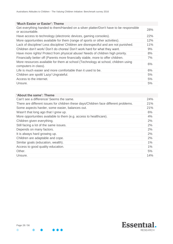| Get everything handed to them/Handed on a silver platter/Don't have to be responsible<br>28%<br>or accountable.<br>Have access to technology (electronic devices, gaming consoles).<br>22%<br>More opportunities available for them (range of sports or other activities).<br>12%<br>Lack of discipline/ Less discipline/ Children are disrespectful and are not punished.<br>11%<br>Children don't work/Don't do chores/Don't work hard for what they want.<br>9% |
|--------------------------------------------------------------------------------------------------------------------------------------------------------------------------------------------------------------------------------------------------------------------------------------------------------------------------------------------------------------------------------------------------------------------------------------------------------------------|
|                                                                                                                                                                                                                                                                                                                                                                                                                                                                    |
|                                                                                                                                                                                                                                                                                                                                                                                                                                                                    |
|                                                                                                                                                                                                                                                                                                                                                                                                                                                                    |
|                                                                                                                                                                                                                                                                                                                                                                                                                                                                    |
|                                                                                                                                                                                                                                                                                                                                                                                                                                                                    |
| Have more rights/ Protect from physical abuse/ Needs of children high priority.<br>8%                                                                                                                                                                                                                                                                                                                                                                              |
| Financially better off (Parents more financially stable, more to offer children.<br>$7\%$                                                                                                                                                                                                                                                                                                                                                                          |
| More resources available for them at school (Technology at school, children using<br>6%<br>computers in class).                                                                                                                                                                                                                                                                                                                                                    |
| Life is much easier and more comfortable than it used to be.<br>6%                                                                                                                                                                                                                                                                                                                                                                                                 |
| Children are spoilt/ Lazy/ Ungrateful.<br>5%                                                                                                                                                                                                                                                                                                                                                                                                                       |
| Access to the internet.<br>5%                                                                                                                                                                                                                                                                                                                                                                                                                                      |
| Unsure.<br>5%                                                                                                                                                                                                                                                                                                                                                                                                                                                      |

# **'About the same': Theme**

| Can't see a difference/ Seems the same.                                              | 24% |
|--------------------------------------------------------------------------------------|-----|
| There are different issues for children these days/Children face different problems. | 21% |
| Some aspects harder, some easier, balances out.                                      | 21% |
| Wasn't that long ago that I grew up.                                                 | 6%  |
| More opportunities available to them (e.g. access to healthcare).                    | 4%  |
| Children given everything.                                                           | 2%  |
| Still facing a lot of the same issues.                                               | 2%  |
| Depends on many factors.                                                             | 2%  |
| It is always hard growing up.                                                        | 2%  |
| Children are adaptable and cope.                                                     | 2%  |
| Similar goals (education, wealth).                                                   | 1%  |
| Access to good quality education.                                                    | 1%  |
| Other.                                                                               | 5%  |
| Unsure.                                                                              | 14% |



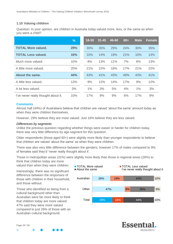# **1.10 Valuing children**

Question: In your opinion, are children in Australia today valued more, less, or the same as when you were a child?

|                                     | %   | $18 - 30$ | $31 - 45$ | 46-60 | $60+$ | <b>Male</b> | <b>Female</b> |
|-------------------------------------|-----|-----------|-----------|-------|-------|-------------|---------------|
| <b>TOTAL More valued.</b>           | 29% | 30%       | 35%       | 29%   | 24%   | 30%         | 35%           |
| <b>TOTAL Less valued.</b>           | 16% | 10%       | 14%       | 19%   | 21%   | 10%         | 14%           |
| Much more valued.                   | 10% | 8%        | 13%       | 11%   | 7%    | 8%          | 13%           |
| A little more valued.               | 20% | 21%       | 22%       | 18%   | 17%   | 21%         | 22%           |
| About the same.                     | 44% | 43%       | 41%       | 43%   | 49%   | 43%         | 41%           |
| A little less valued.               | 13% | 9%        | 12%       | 14%   | 17%   | 9%          | 12%           |
| A lot less valued.                  | 3%  | 1%        | 3%        | 5%    | 4%    | 1%          | 3%            |
| I've never really thought about it. | 10% | 17%       | 9%        | 9%    | 6%    | 17%         | 9%            |

#### **Comments**

Almost half (44%) of Australians believe that children are valued 'about the same' amount today as when they were children themselves.

However, 29% believe they are more valued. Just 16% believe they are less valued.

#### *Differences by segments*

Unlike the previous question regarding whether things were easier or harder for children today, there was very little difference by age segment for this question.

Older respondents (those aged 60+) were slightly more likely than younger respondents to believe that children are valued 'about the same' as when they were children.

There was also very little difference between the genders; however 17% of males compared to 9% of females said they'd 'never really thought about it'.

Those in metropolitan areas (31%) were slightly more likely than those in regional areas (26%) to think that children today are more

valued than when they were children.

Interestingly, there was no significant difference between the responses of those with children in their household, and those without.

Those who identified as being from a cultural background other than Australian were far more likely to think that children today are more valued; 47% said they were more valued compared to just 26% of those with an Australian cultural background.



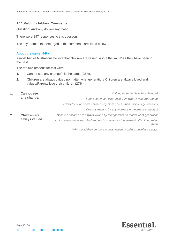#### **1.11 Valuing children: Comments**

Question: And why do you say that?

There were 897 responses to this question.

The key themes that emerged in the comments are listed below.

#### **About the same: 44%**

Almost half of Australians believe that children are valued 'about the same' as they have been in the past.

The top two reasons for this were:

- **1.** Cannot see any change/It is the same (28%).
- **2.** Children are always valued no matter what generation/ Children are always loved and valued/Parents love their children (27%).

| 1. | <b>Cannot see</b>   | Nothing fundamentally has changed.                                                           |
|----|---------------------|----------------------------------------------------------------------------------------------|
|    | any change.         | I don't see much difference from when I was growing up.                                      |
|    |                     | I don't think we value children any more or less than previous generations.                  |
|    |                     | Doesn't seem to be any increase or decrease in neglect.                                      |
| 2. | <b>Children are</b> | Because children are always valued by their parents no matter what generation                |
|    | always valued.      | I think everyone values children but circumstances has made it difficult to protect<br>them. |
|    |                     | Why would they be more or less valued, a child is priceless always.                          |

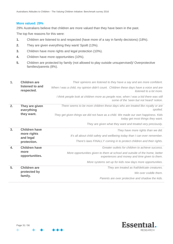#### **More valued: 29%**

29% Australians believe that children are more valued than they have been in the past.

The top five reasons for this were:

- **1.** Children are listened to and respected (have more of a say in family decisions) (18%).
- **2.** They are given everything they want/ Spoilt (13%).
- **3.** Children have more rights and legal protection (10%).
- **4.** Children have more opportunities (10%).
- **5.** Children are protected by family (not allowed to play outside unsupervised)/ Overprotective families/parents (8%).

| 1. | <b>Children are</b>           | Their opinions are listened to they have a say and are more confident.                                                           |
|----|-------------------------------|----------------------------------------------------------------------------------------------------------------------------------|
|    | listened to and<br>respected. | When I was a child, my opinion didn't count. Children these days have a voice and are<br>listened to a lot more.                 |
|    |                               | I think people look at children more as people now, when I was a kid there was still<br>some of the 'seen but not heard' notion. |
| 2. | They are given<br>everything  | There seems to be more children these days who are treated like royalty or are<br>spoiled.                                       |
|    | they want.                    | They get given things we did not have as a child. We made our own happiness. Kids<br>today get most things they want.            |
|    |                               | They are given what they want and treated very preciously.                                                                       |
| 3. | <b>Children have</b>          | They have more rights than we did.                                                                                               |
|    | more rights<br>and legal      | It's all about child safety and wellbeing today than I can ever remember.                                                        |
|    | protection.                   | There's laws FINALLY coming in to protect children and their rights.                                                             |
| 4. | <b>Children have</b>          | Greater outlets for children to achieve success.                                                                                 |
|    | more<br>opportunities.        | More opportunities given to them at school and outside of the home, better<br>experiences and money and time given to them.      |
|    |                               | More systems set up for kids now days more opportunities.                                                                        |
| 5. | <b>Children are</b>           | They are treated as frail/delicate creatures.                                                                                    |
|    | protected by                  | We over coddle them.                                                                                                             |
|    | family.                       | Parents are over protective and shadow the kids.                                                                                 |

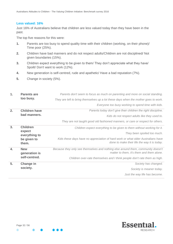#### **Less valued: 16%**

Just 16% of Australians believe that children are less valued today than they have been in the past.

The top five reasons for this were:

- **1.** Parents are too busy to spend quality time with their children (working, on their phone)/ Time poor (25%).
- **2.** Children have bad manners and do not respect adults/Children are not disciplined/ Not given boundaries (15%).
- **3.** Children expect everything to be given to them/ They don't appreciate what they have/ Spoilt/ Don't want to work (12%).
- **4.** New generation is self-centred, rude and apathetic/ Have a bad reputation (7%).
- **5.** Change in society (5%).

| $\mathbf{1}$ .   | <b>Parents are</b>          | Parents don't seem to focus as much on parenting and more on social standing.                                                    |
|------------------|-----------------------------|----------------------------------------------------------------------------------------------------------------------------------|
|                  | too busy.                   | They are left to bring themselves up a lot these days when the mother goes to work.                                              |
|                  |                             | Everyone too busy working to spend time with kids.                                                                               |
| 2.               | <b>Children have</b>        | Parents today don't give their children the right discipline.                                                                    |
|                  | bad manners.                | Kids do not respect adults like they used to.                                                                                    |
|                  |                             | They are not taught good old fashioned manners, or care or respect for others.                                                   |
| 3.               | <b>Children</b>             | Children expect everything to be given to them without working for it.                                                           |
|                  | expect<br>everything to     | They been spoiled too much.                                                                                                      |
|                  | be given to<br>them.        | Kids these days have no appreciation of hard work or what older Australians have<br>done to make their life the way it is today. |
| $\overline{4}$ . | <b>New</b><br>generation is | Because they only see themselves and nothing else around them, community doesn't<br>matter to them, it's them and them alone.    |
|                  | self-centred.               | Children over-rate themselves and I think people don't rate them as high.                                                        |
| 5.               | <b>Change in</b>            | Society has changed.                                                                                                             |
|                  | society.                    | Society is meaner today.                                                                                                         |
|                  |                             | Just the way life has become.                                                                                                    |



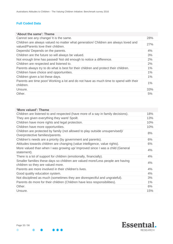# **Full Coded Data**

| 'About the same': Theme                                                                                                    |            |
|----------------------------------------------------------------------------------------------------------------------------|------------|
| Cannot see any change/ It is the same.                                                                                     | <b>28%</b> |
| Children are always valued no matter what generation/ Children are always loved and<br>valued/Parents love their children. | 27%        |
| Depends/ Depends on the parents.                                                                                           | 4%         |
| Children are the future so will always be valued.                                                                          | 3%         |
| Not enough time has passed/ Not old enough to notice a difference.                                                         | 2%         |
| Children are respected and listened to.                                                                                    | 2%         |
| Parents always try to do what is best for their children and protect their children.                                       | $1\%$      |
| Children have choice and opportunities.                                                                                    | 1%         |
| Children given a lot these days.                                                                                           | 1%         |
| Parents are time poor/ Working a lot and do not have as much time to spend with their<br>children.                         | $1\%$      |
| Unsure.                                                                                                                    | 33%        |
| Other.                                                                                                                     | 5%         |

| 'More valued': Theme                                                                                                |     |
|---------------------------------------------------------------------------------------------------------------------|-----|
| Children are listened to and respected (have more of a say in family decisions).                                    | 18% |
| They are given everything they want/ Spoilt.                                                                        | 13% |
| Children have more rights and legal protection.                                                                     | 10% |
| Children have more opportunities.                                                                                   | 10% |
| Children are protected by family (not allowed to play outside unsupervised)/<br>Overprotective families/parents.    | 8%  |
| Children's needs are a priority (by government and parents).                                                        | 6%  |
| Attitudes towards children are changing (value intelligence, value rights).                                         | 6%  |
| More valued than when I was growing up/ Improved since I was a child (General<br>statement).                        | 4%  |
| There is a lot of support for children (emotionally, financially).                                                  | 4%  |
| Smaller families these days so children are valued more/Less people are having<br>children so they are valued more. | 4%  |
| Parents are more involved in their children's lives.                                                                | 4%  |
| Good quality education system.                                                                                      | 4%  |
| Not disciplined as much (sometimes they are disrespectful and ungrateful).                                          | 3%  |
| Parents do more for their children (Children have less responsibilities).                                           | 1%  |
| Other.                                                                                                              | 6%  |
| Unsure.                                                                                                             | 15% |



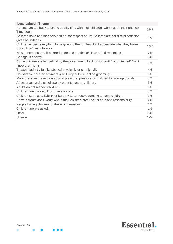| 'Less valued': Theme                                                                                                 |       |
|----------------------------------------------------------------------------------------------------------------------|-------|
| Parents are too busy to spend quality time with their children (working, on their phone)/<br>Time poor.              | 25%   |
| Children have bad manners and do not respect adults/Children are not disciplined/ Not<br>given boundaries.           | 15%   |
| Children expect everything to be given to them/ They don't appreciate what they have/<br>Spoilt/ Don't want to work. | 12%   |
| New generation is self-centred, rude and apathetic/ Have a bad reputation.                                           | 7%    |
| Change in society.                                                                                                   | 5%    |
| Some children are left behind by the government/ Lack of support/ Not protected/ Don't<br>know their rights.         | 4%    |
| Treated badly by family/ abused physically or emotionally.                                                           | 4%    |
| Not safe for children anymore (can't play outside, online grooming).                                                 | 3%    |
| More pressure these days (Social pressure, pressure on children to grow up quickly).                                 | 3%    |
| Affect drugs and alcohol use by parents has on children.                                                             | 3%    |
| Adults do not respect children.                                                                                      | 3%    |
| Children are ignored/ Don't have a voice.                                                                            | 3%    |
| Children seen as a liability or burden/ Less people wanting to have children.                                        | 2%    |
| Some parents don't worry where their children are/ Lack of care and responsibility.                                  | 2%    |
| People having children for the wrong reasons.                                                                        | 1%    |
| Children aren't trusted.                                                                                             | $1\%$ |
| Other.                                                                                                               | 6%    |
| Unsure.                                                                                                              | 17%   |

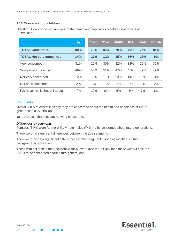# **1.12 Concern about children**

Question: How concerned are you for the health and happiness of future generations of Australians?

|                                     | %   | $18 - 30$ | $31 - 45$ | 46-60 | $60+$ | <b>Male</b> | <b>Female</b> |
|-------------------------------------|-----|-----------|-----------|-------|-------|-------------|---------------|
| <b>TOTAL Concerned.</b>             | 80% | 79%       | 82%       | 79%   | 79%   | <b>75%</b>  | 84%           |
| <b>TOTAL Not very concerned.</b>    | 14% | 11%       | 12%       | 15%   | 16%   | 18%         | 9%            |
| Very concerned.                     | 31% | 29%       | 30%       | 32%   | 33%   | 26%         | 35%           |
| Somewhat concerned.                 | 49% | 50%       | 51%       | 47%   | 47%   | 49%         | 49%           |
| Not very concerned.                 | 12% | 10%       | 11%       | 13%   | 14%   | 16%         | 8%            |
| Not at all concerned.               | 2%  | 2%        | 1%        | 2%    | 2%    | 2%          | 2%            |
| I've never really thought about it. | 7%  | 10%       | 6%        | 6%    | 5%    | 7%          | 6%            |

#### **Comments**

Overall, 80% of Australians say they are concerned about the health and happiness of future generations of Australians.

Just 14% said that they are not very concerned.

#### *Differences by segments*

Females (84%) were far more likely than males (74%) to be concerned about future generations.

There were no significant differences between the age segments.

There were also no significant differences by other segments, such as location, cultural background or education.

Those with children in their household (84%) were also more likely than those without children (75%) to be concerned about future generations.



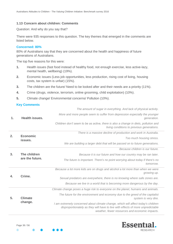#### **1.13 Concern about children: Comments**

Question: And why do you say that?

There were 935 responses to this question. The key themes that emerged in the comments are listed below.

#### **Concerned: 80%**

80% of Australians say that they are concerned about the health and happiness of future generations of Australians.

The top five reasons for this were:

- **1.** Health issues (fast food instead of healthy food, not enough exercise, less active-lazy, mental health, wellbeing) (19%).
- **2.** Economic issues (Less job opportunities, less production, rising cost of living, housing costs, tax system is unfair) (15%).
- **3.** The children are the future/ Need to be looked after and their needs are a priority (11%).
- **4.** Crime (drugs, violence, terrorism, online grooming, child exploitation) (10%).
- **5.** Climate change/ Environmental concerns/ Pollution (10%).

#### **Key Comments**

| 1. |                                 | The amount of sugar in everything. And lack of physical activity.                                                                                                                                                      |
|----|---------------------------------|------------------------------------------------------------------------------------------------------------------------------------------------------------------------------------------------------------------------|
|    | <b>Health issues.</b>           | More and more people seem to suffer from depression especially the younger<br>generation.                                                                                                                              |
|    |                                 | Children don't seem to be as active, there is also a change in diets, pollution and<br>living conditions to previous generations.                                                                                      |
|    |                                 | There is a massive decline of production and work in Australia.                                                                                                                                                        |
| 2. | <b>Economic</b><br>issues.      | Too much housing stress.                                                                                                                                                                                               |
|    |                                 | We are building a larger debt that will be passed on to future generations.                                                                                                                                            |
|    |                                 | Because children is our future.                                                                                                                                                                                        |
| 3. | The children<br>are the future. | Because it is our future and how our country may be ran later.                                                                                                                                                         |
|    |                                 | The future is important. There's no point worrying about today if there's no<br>tomorrow.                                                                                                                              |
|    |                                 | Because a lot more kids are on drugs and alcohol a lot more than when we were<br>growing up.                                                                                                                           |
| 4. | Crime.                          | Sexual predators are everywhere, there is no knowing where safe zones are.                                                                                                                                             |
|    |                                 | Because we live in a world that is becoming more dangerous by the day.                                                                                                                                                 |
|    |                                 | Climate change poses a huge risk to everyone on the planet, humans and animals.                                                                                                                                        |
| 5. | <b>Climate</b><br>change.       | The future for the environment and economy due to the greed of the capitalist<br>system is very dire.                                                                                                                  |
|    |                                 | I am extremely concerned about climate change, which will affect today's children<br>disproportionately as they will have to live with effects of more unpredictable<br>weather, fewer resources and economic impacts. |



 $\bullet$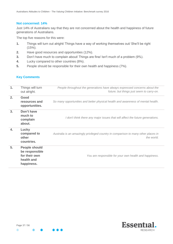#### **Not concerned: 14%**

Just 14% of Australians say that they are not concerned about the health and happiness of future generations of Australians.

The top five reasons for this were:

- **1.** Things will turn out alright/ Things have a way of working themselves out/ She'll be right  $(15\%)$ .
- **2.** Have good resources and opportunities (12%).
- **3.** Don't have much to complain about/ Things are fine/ Isn't much of a problem (9%).
- **4.** Lucky compared to other countries (8%).
- **5.** People should be responsible for their own health and happiness (7%).

#### **Key Comments**

| $\mathbf 1$ . | Things will turn<br>out alright.                                                    | People throughout the generations have always expressed concerns about the<br>future; but things just seem to carry-on. |
|---------------|-------------------------------------------------------------------------------------|-------------------------------------------------------------------------------------------------------------------------|
| 2.            | Good<br>resources and<br>opportunities.                                             | So many opportunities and better physical health and awareness of mental health.                                        |
| 3.            | Don't have<br>much to<br>complain<br>about.                                         | I don't think there any major issues that will affect the future generations.                                           |
| 4.            | Lucky<br>compared to<br>other<br>countries.                                         | Australia is an amazingly privileged country in comparison to many other places in<br>the world.                        |
| 5.            | <b>People should</b><br>be responsible<br>for their own<br>health and<br>happiness. | You are responsible for your own health and happiness.                                                                  |

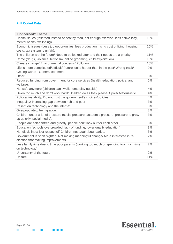# **Full Coded Data**

| 'Concerned': Theme                                                                                                         |     |
|----------------------------------------------------------------------------------------------------------------------------|-----|
| Health issues (fast food instead of healthy food, not enough exercise, less active-lazy,<br>mental health, wellbeing).     | 19% |
| Economic issues (Less job opportunities, less production, rising cost of living, housing                                   | 15% |
| costs, tax system is unfair).                                                                                              |     |
| The children are the future/ Need to be looked after and their needs are a priority.                                       | 11% |
| Crime (drugs, violence, terrorism, online grooming, child exploitation).                                                   | 10% |
| Climate change/ Environmental concerns/ Pollution.                                                                         | 10% |
| Life is more complicated/difficult/ Future looks harder than in the past/ Wrong track/<br>Getting worse - General comment. | 9%  |
| Other.                                                                                                                     | 6%  |
| Reduced funding from government for core services (health, education, police, and<br>welfare).                             | 5%  |
| Not safe anymore (children can't walk home/play outside).                                                                  | 4%  |
| Given too much and don't work hard/ Children do as they please/ Spoilt/ Materialistic.                                     | 4%  |
| Political instability/ Do not trust the government's choices/policies.                                                     | 4%  |
| Inequality/ Increasing gap between rich and poor.                                                                          | 3%  |
| Reliant on technology and the internet.                                                                                    | 3%  |
| Overpopulated/ Immigration.                                                                                                | 3%  |
| Children under a lot of pressure (social pressure, academic pressure, pressure to grow<br>up quickly, social media).       | 3%  |
| People are self-centred and greedy, people don't look out for each other.                                                  | 3%  |
| Education (schools overcrowded, lack of funding, lower quality education).                                                 | 3%  |
| Not disciplined/ Not respectful/ Children not taught boundaries.                                                           | 3%  |
| Government is short sighted/ Not making meaningful change/ More interested in re-<br>election that making improvements.    | 2%  |
| Less family time due to time poor parents (working too much or spending too much time<br>on technology).                   | 2%  |
| Uncertainty of the future.                                                                                                 | 2%  |
| Unsure.                                                                                                                    | 11% |



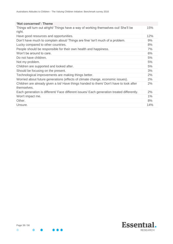| 'Not concerned': Theme                                                                                |     |
|-------------------------------------------------------------------------------------------------------|-----|
| Things will turn out alright/ Things have a way of working themselves out/ She'll be<br>right.        | 15% |
| Have good resources and opportunities.                                                                | 12% |
| Don't have much to complain about/ Things are fine/ Isn't much of a problem.                          | 9%  |
| Lucky compared to other countries.                                                                    | 8%  |
| People should be responsible for their own health and happiness.                                      | 7%  |
| Won't be around to care.                                                                              | 6%  |
| Do not have children.                                                                                 | 5%  |
| Not my problem.                                                                                       | 5%  |
| Children are supported and looked after.                                                              | 5%  |
| Should be focusing on the present.                                                                    | 3%  |
| Technological improvements are making things better.                                                  | 2%  |
| Worried about future generations (effects of climate change, economic issues).                        | 2%  |
| Children are already given a lot/ Have things handed to them/ Don't have to look after<br>themselves. | 2%  |
| Each generation is different/ Face different issues/ Each generation treated differently.             | 2%  |
| Won't impact me.                                                                                      | 1%  |
| Other.                                                                                                | 8%  |
| Unsure.                                                                                               | 14% |
|                                                                                                       |     |



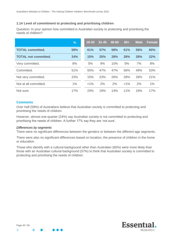# **1.14 Level of commitment to protecting and prioritising children**

Question: In your opinion how committed is Australian society to protecting and prioritising the needs of children?

|                             | %   | $18 - 30$ | $31 - 45$ | 46-60 | $60+$   | <b>Male</b> | <b>Female</b> |
|-----------------------------|-----|-----------|-----------|-------|---------|-------------|---------------|
| <b>TOTAL committed.</b>     | 59% | 61%       | 57%       | 58%   | 61%     | 56%         | 60%           |
| <b>TOTAL not committed.</b> | 24% | 15%       | 25%       | 28%   | 28%     | 28%         | 22%           |
| Very committed.             | 8%  | 5%        | 9%        | 10%   | 5%      | 7%          | 8%            |
| Committed.                  | 51% | 55%       | 47%       | 47%   | 56%     | 49%         | 53%           |
| Not very committed.         | 23% | 15%       | 23%       | 26%   | 28%     | 26%         | 21%           |
| Not at all committed.       | 1%  | $< 1\%$   | 2%        | 2%    | $< 1\%$ | 2%          | 1%            |
| Not sure.                   | 17% | 24%       | 19%       | 14%   | 11%     | 16%         | 17%           |

#### **Comments**

Over half (59%) of Australians believe that Australian society is committed to protecting and prioritising the needs of children.

However, almost one-quarter (24%) say Australian society is not committed to protecting and prioritising the needs of children. A further 17% say they are 'not sure'.

#### *Differences by segments*

There were no significant differences between the genders or between the different age segments.

There were also no significant differences based on location, the presence of children in the home or education.

Those who identify with a cultural background other than Australian (65%) were more likely than those with an Australian cultural background (57%) to think that Australian society is committed to protecting and prioritising the needs of children.



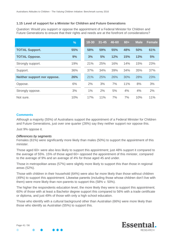# **1.15 Level of support for a Minister for Children and Future Generations**

Question: Would you support or oppose the appointment of a Federal Minister for Children and Future Generations to ensure that their rights and needs are at the forefront of considerations?

|                             | %   | 18-30 | $31 - 45$ | 46-60 | $60+$ | <b>Male</b> | <b>Female</b> |
|-----------------------------|-----|-------|-----------|-------|-------|-------------|---------------|
| <b>TOTAL Support.</b>       | 55% | 58%   | 59%       | 55%   | 48%   | 50%         | 61%           |
| <b>TOTAL Oppose.</b>        | 9%  | 3%    | 5%        | 12%   | 15%   | 13%         | 5%            |
| Strongly support.           | 19% | 21%   | 25%       | 16%   | 14%   | 15%         | 23%           |
| Support.                    | 36% | 37%   | 34%       | 39%   | 34%   | 35%         | 37%           |
| Neither support nor oppose. | 26% | 21%   | 25%       | 26%   | 30%   | 28%         | 23%           |
| Oppose.                     | 6%  | 2%    | 3%        | 7%    | 11%   | 8%          | 3%            |
| Strongly oppose.            | 3%  | 1%    | 2%        | 5%    | 4%    | 4%          | 2%            |
| Not sure.                   | 10% | 17%   | 11%       | 7%    | 7%    | 10%         | 11%           |

#### **Comments**

Although a majority (55%) of Australians support the appointment of a Federal Minister for Children and Future Generations, just over one quarter (26%) say they neither support nor oppose this.

Just 9% oppose it.

#### *Differences by segments*

Females (61%) were significantly more likely than males (50%) to support the appointment of this minister.

Those aged 60+ were also less likely to support this appointment; just 48% support it compared to the average of 55%. 15% of those aged 60+ opposed the appointment of this minister, compared to the average of 9% and an average of 4% for those aged 45 and under.

Those in metropolitan areas (57%) were slightly more likely to support this than those in regional areas (52%).

Those with children in their household (64%) were also far more likely than those without children (49%) to support this appointment. Likewise parents (including those whose children don't live with them) were more likely than non-parents to support this (58% v. 50%).

The higher the respondents education level, the more likely they were to support this appointment; 60% of those with at least a Bachelor degree support this compared to 56% with a trade certificate or diploma, and just 49% of those with only a high school education.

Those who identify with a cultural background other than Australian (66%) were more likely than those who identify as Australian (55%) to support this.

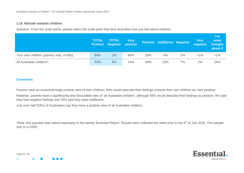#### **1.16 Attitude towards children**

Question: From the scale below, please select the scale point that best describes how you feel about children:

|                                          | <b>TOTAL</b> | <b>TOTAL</b><br><b>Positive Negative</b> | <b>Very</b><br>positive |     | <b>Positive Indifferent Negative</b> |    | Very<br>negative | l've<br>never<br>thought<br>about it |
|------------------------------------------|--------------|------------------------------------------|-------------------------|-----|--------------------------------------|----|------------------|--------------------------------------|
| Your own children (parents only, n=590). | 94%          | 2%                                       | 68%                     | 26% | 4%                                   | 2% | $< 1\%$          | $< 1\%$                              |
| All Australian children*.                | 53%          | 9%                                       | 14%                     | 39% | 22%                                  | 7% | 2%               | 16%                                  |

#### **Comments**

Parents have an overwhelmingly positive view of their children; 94% would describe their feelings towards their own children as 'very positive'.

However, parents have a significantly less favourable view of 'all Australian children'; although 65% would describe their feelings as positive, 8% said they had negative feelings and 25% said they were indifferent.

Just over half (53%) of Australians say they have a positive view of all Australian children.

\*Note: this question was asked separately in the weekly Essential Report. Results were collected the week prior to the 4<sup>th</sup> of July 2016. The sample size is n=1000.



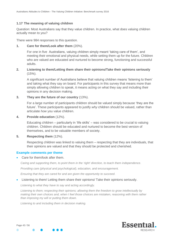# **1.17 The meaning of valuing children**

Question: Most Australians say that they value children. In practice, what does valuing children actually mean to you?

There were 984 responses to this question.

**1. Care for them/Look after them** (20%).

For one in five Australians, valuing children simply meant 'taking care of them', and meeting their emotional and physical needs, while setting them up for the future. Children who are valued are educated and nurtured to become strong, functioning and successful adults.

# **2. Listening to them/Letting them share their opinions/Take their opinions seriously** (15%).

A significant number of Australians believe that valuing children means 'listening to them' and taking what they say on board. For participants in this survey that means more than simply allowing children to speak, it means acting on what they say and including their opinions in any decision making.

## **3. They are the future of our country** (13%).

For a large number of participants children should be valued simply because 'they are the future'. These participants appeared to justify *why* children should be valued, rather than articulate *how* you value children.

#### **4. Provide education** (12%).

Educating children – particularly in 'life skills' – was considered to be crucial to valuing children. Children should be educated and nurtured to become the best version of themselves, and to be valuable members of society.

#### **5. Respecting them** (12%).

Respecting children was linked to valuing them – respecting that they are individuals, that their opinions are valued and that they should be protected and cherished.

#### **Example comments per theme**

• Care for them/look after them.

*Caring and supporting them, to point them in the 'right' direction, to teach them independence.*

*Providing care (physical and psychological), education, and encouragement.*

*Ensuring that they are cared for and are given the opportunity to succeed.*

#### Listening to them/ Letting them share their opinions/ Take their opinions seriously.

*Listening to what they have to say and acting accordingly.*

*Listening to them; respecting their opinions; allowing them the freedom to grow intellectually by making their own choices and, when I feel those choices are mistaken, reasoning with them rather than imposing my will or putting them down.*

*Listening to and including them in decision making.*



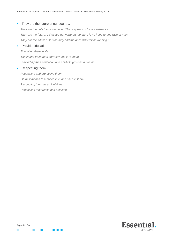#### • They are the future of our country.

*They are the only future we have...The only reason for our existence. They are the future, if they are not nurtured rite there is no hope for the race of man. They are the future of this country and the ones who will be running it.*

#### Provide education

*Educating them in life. Teach and train them correctly and love them. Supporting their education and ability to grow as a human.*

#### • Respecting them

*Respecting and protecting them. I think it means to respect, love and cherish them. Respecting them as an individual. Respecting their rights and opinions.*

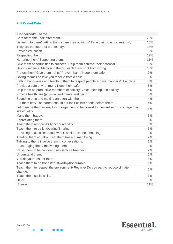# **Full Coded Data**

| 'Concerned': Theme                                                                                   |       |
|------------------------------------------------------------------------------------------------------|-------|
| Care for them/Look after them.                                                                       | 20%   |
| Listening to them/ Letting them share their opinions/ Take their opinions seriously.                 | 15%   |
| They are the future of our country.                                                                  | 13%   |
| Provide education.                                                                                   | 12%   |
| Respecting them.                                                                                     | 12%   |
| Nurturing them/ Supporting them.                                                                     | 11%   |
| Give them opportunities to succeed/ Help them achieve their potential.                               | 10%   |
| Giving guidance/ Mentoring them/ Teach them right from wrong.                                        | 10%   |
| Protect them/ Give them rights/ Prevent harm/ Keep them safe.                                        | 9%    |
| Loving them/ The love you receive from a child.                                                      | 9%    |
| Setting boundaries and teaching them to respect people & have manners/ Discipline.                   | 8%    |
| Provide a safe environment/ Keep them safe.                                                          | 8%    |
| Help them be productive members of society/ Value their input in society.                            | 5%    |
| Provide healthcare (physical and mental wellbeing).                                                  | 5%    |
| Spending time and making an effort with them.                                                        | 4%    |
| Put them first/ The parent should put their child's needs before theirs.                             | 4%    |
| Let them be themselves/ Encourage them to be honest to themselves/ Encourage their<br>individuality. | 4%    |
| Make them happy.                                                                                     | 3%    |
| Appreciating them.                                                                                   | 3%    |
| Teach them responsibility/accountability.                                                            | 3%    |
| Teach them to be kind/caring/Sharing.                                                                | 3%    |
| Providing necessities (food, water, shelter, clothes, housing).                                      | 2%    |
| Treating them equally/ Treat them like a human being.                                                | 2%    |
| Talking to them/ involve them in conversations.                                                      | 2%    |
| Encouraging them/ motivating them.                                                                   | 2%    |
| Raise them to be confident/ resilient/ self-respect.                                                 | 2%    |
| Understand them.                                                                                     | 1%    |
| You do your best for them.                                                                           | 1%    |
| Teach them to be honest/trustworthy/honourable.                                                      | 1%    |
| Teach them to respect the environment/ Recycle/ Do you part to reduce climate                        | $1\%$ |
| change.                                                                                              |       |
| Teach them social skills.                                                                            | $1\%$ |
| Other.                                                                                               | 3%    |
| Unsure.                                                                                              | 11%   |

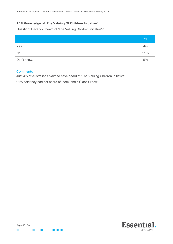# **1.18 Knowledge of 'The Valuing Of Children Initiative'**

Question: Have you heard of 'The Valuing Children Initiative'?

|             | %   |
|-------------|-----|
| Yes.        | 4%  |
| No.         | 91% |
| Don't know. | 5%  |

## **Comments**

Just 4% of Australians claim to have heard of 'The Valuing Children Initiative'.

91% said they had not heard of them, and 5% don't know.

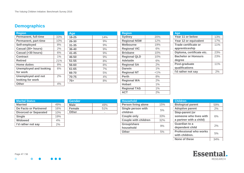# **Demographics**

| <b>Region</b>                 |       | Age       |
|-------------------------------|-------|-----------|
| <b>Permanent, full-time</b>   | 33%   | $18 - 25$ |
| <b>Permanent, part-time</b>   | 10%   | 26-30     |
| Self-employed                 | 8%    | $31 - 35$ |
| Casual (30+ hours)            | 2%    | 36-40     |
| Casual (>30 hours)            | 6%    | $41 - 45$ |
| <b>Contract</b>               | $1\%$ | 46-50     |
| <b>Retired</b>                | 21%   | $51 - 55$ |
| <b>Home duties</b>            | 8%    | 56-60     |
| <b>Unemployed and looking</b> | 6%    | 61-65     |
| for work                      |       | 66-70     |
| <b>Unemployed and not</b>     | 2%    | 70-75     |
| looking for work              |       | $75+$     |
| <b>Other</b>                  | 4%    |           |

| $18 - 25$ | 14% |
|-----------|-----|
| 26-30     | 9%  |
| $31 - 35$ | 9%  |
| 36-40     | 9%  |
| $41 - 45$ | 9%  |
| 46-50     | 9%  |
| $51 - 55$ | 8%  |
| 56-60     | 8%  |
| 61-65     | 7%  |
| 66-70     | 5%  |
| 70-75     | 4%  |
| $75+$     | 8%  |

| <b>Region</b>       |         |
|---------------------|---------|
| <b>Sydney</b>       | 20%     |
| <b>Regional NSW</b> | 12%     |
| <b>Melbourne</b>    | 19%     |
| <b>Regional VIC</b> | 6%      |
| <b>Brisbane</b>     | 10%     |
| <b>Regional QLD</b> | 10%     |
| <b>Adelaide</b>     | 6%      |
| <b>Regional SA</b>  | 2%      |
| <b>Darwin</b>       | 1%      |
| <b>Regional NT</b>  | $< 1\%$ |
| <b>Perth</b>        | 8%      |
| <b>Regional WA</b>  | 2%      |
| <b>Hobart</b>       | 1%      |
| <b>Regional TAS</b> | 1%      |
| <b>ACT</b>          | 2%      |

| Age                        |     |
|----------------------------|-----|
| Year 11 or below           | 13% |
| Year 12 or equivalent      | 17% |
| Trade certificate or       | 11% |
| apprenticeship             |     |
| Diploma, certificate etc.  | 23% |
| <b>Bachelor or Honours</b> | 23% |
| degree                     |     |
| Post-graduate              | 11% |
| qualifications             |     |
| I'd rather not say         |     |

<span id="page-46-0"></span>

| <b>Marital Status</b>        |     |
|------------------------------|-----|
| <b>Married</b>               | 49% |
| De Facto or Partnered        | 16% |
| <b>Divorced or Separated</b> | 10% |
| <b>Single</b>                | 19% |
| <b>Widowed</b>               | 4%  |
| I'd rather not say           | 2%  |

| <b>Gender</b> |     |
|---------------|-----|
| <b>Male</b>   | 49% |
| <b>Female</b> | 51% |
| <b>Other</b>  |     |

| <b>Household</b>               |     |
|--------------------------------|-----|
| <b>Person living alone</b>     | 15% |
| Single person with<br>children | 5%  |
| <b>Couple only</b>             | 33% |
| <b>Couple with children</b>    | 32% |
| Group/share<br>household       | 9%  |
| Other                          | 5%  |

| <b>Children</b>               |     |
|-------------------------------|-----|
| <b>Biological parent</b>      | 59% |
| <b>Adoptive parent</b>        | 2%  |
| <b>Step-parent (or</b>        |     |
| someone who lives with        | 6%  |
| a partner with a child)       |     |
| Guardian to a                 | 2%  |
| dependent child               |     |
| <b>Professional who works</b> | 5%  |
| with children.                |     |
| None of these                 |     |





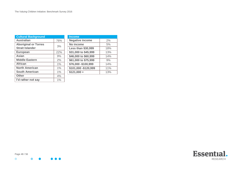| <b>Cultural Background</b>  |       | <b>Income</b>             |     |
|-----------------------------|-------|---------------------------|-----|
| <b>Australian</b>           | 76%   | <b>Negative income</b>    | 2%  |
| <b>Aboriginal or Torres</b> | 3%    | No income                 | 5%  |
| <b>Strait Islander</b>      |       | <b>Less than \$30,999</b> | 18% |
| <b>European</b>             | 22%   | \$31,000 to \$45,999      | 13% |
| Asian                       | 9%    | \$46,000 to \$60,999      | 14% |
| <b>Middle Eastern</b>       | 2%    | \$61,000 to \$75,999      | 9%  |
| <b>African</b>              | 1%    | \$76,000 - \$100,999      | 14% |
| <b>North American</b>       | 1%    | \$101,000 - \$120,999     | 11% |
| <b>South American</b>       | $1\%$ | $$121,000 +$              | 13% |
| <b>Other</b>                | 4%    |                           |     |
| I'd rather not say          | 1%    |                           |     |



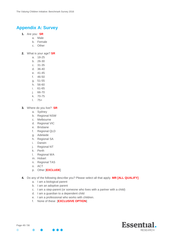# <span id="page-48-0"></span>**Appendix A: Survey**

- **1.** Are you: **SR**
	- a. Male
	- b. Female
	- c. Other

**2.** What is your age? **SR**

- a. 18-25
- b. 26-30
- c. 31-35
- d. 36-40
- e. 41-45
- f. 46-50
- g. 51-55
- h. 56-60
- i. 61-65
- j. 66-70
- k. 70-75
- l. 75+
- **3.** Where do you live? **SR**
	- a. Sydney
	- b. Regional NSW
	- c. Melbourne
	- d. Regional VIC
	- e. Brisbane
	- f. Regional QLD
	- g. Adelaide
	- h. Regional SA
	- i. Darwin
	- j. Regional NT
	- k. Perth
	- l. Regional WA
	- m. Hobart
	- n. Regional TAS
	- o. ACT
	- p. Other [**EXCLUDE**]
- **4.** Do any of the following describe you? Please select all that apply. **MR [ALL QUALIFY]** 
	- a. I am a biological parent
	- b. I am an adoptive parent
	- c. I am a step-parent (or someone who lives with a partner with a child)
	- d. I am a guardian to a dependent child
	- e. I am a professional who works with children.
	- f. None of these [**EXCLUSIVE OPTION**]

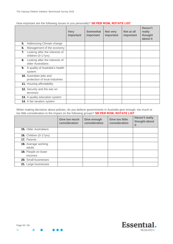|    |                                                                  | <b>Very</b><br>important | Somewhat<br>important | Not very<br>important | Not at all<br>important | Haven't<br>really<br>thought<br>about it |
|----|------------------------------------------------------------------|--------------------------|-----------------------|-----------------------|-------------------------|------------------------------------------|
| 5. | Addressing Climate change                                        |                          |                       |                       |                         |                                          |
| 6. | Management of the economy                                        |                          |                       |                       |                         |                                          |
| 7. | Looking after the interests of<br>children (0-17yrs)             |                          |                       |                       |                         |                                          |
| 8. | Looking after the interests of<br>older Australians              |                          |                       |                       |                         |                                          |
| 9. | A quality of Australia's health<br>system                        |                          |                       |                       |                         |                                          |
|    | <b>10.</b> Australian jobs and<br>protection of local industries |                          |                       |                       |                         |                                          |
|    | 11. Housing affordability                                        |                          |                       |                       |                         |                                          |
|    | <b>12.</b> Security and the war on<br>terrorism                  |                          |                       |                       |                         |                                          |
|    | 13. A quality education system                                   |                          |                       |                       |                         |                                          |
|    | <b>14.</b> A fair taxation system                                |                          |                       |                       |                         |                                          |

#### How important are the following issues to you personally? **SR PER ROW, ROTATE LIST**

When making decisions about policies, do you believe governments in Australia give enough, too much or too little consideration to the impact on the following groups? **SR PER ROW, ROTATE LIST**

|                                      | Give too much<br>consideration | Give enough<br>consideration | <b>Give too little</b><br>consideration | <b>Haven't really</b><br>thought about<br>it |
|--------------------------------------|--------------------------------|------------------------------|-----------------------------------------|----------------------------------------------|
| <b>15.</b> Older Australians         |                                |                              |                                         |                                              |
| <b>16.</b> Children (0-17yrs)        |                                |                              |                                         |                                              |
| 17. Parents                          |                                |                              |                                         |                                              |
| <b>18.</b> Average working<br>adults |                                |                              |                                         |                                              |
| 19. People on lower<br>incomes       |                                |                              |                                         |                                              |
| 20. Small businesses                 |                                |                              |                                         |                                              |
| 21. Large businesses                 |                                |                              |                                         |                                              |

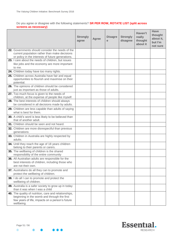## Do you agree or disagree with the following statements? **SR PER ROW, ROTATE LIST (split across screens as necessary)**

|                                                                                                                                                                       | <b>Strongly</b><br>agree | <b>Agree</b> | <b>Disagre</b><br>e | <b>Strongly</b><br>disagree | Haven't<br>really<br>thought<br>about it | <b>Have</b><br>thought<br>about it,<br>but I'm<br>not sure |
|-----------------------------------------------------------------------------------------------------------------------------------------------------------------------|--------------------------|--------------|---------------------|-----------------------------|------------------------------------------|------------------------------------------------------------|
| 22. Governments should consider the needs of the<br>current population rather than make decisions<br>or policy in the interests of future generations.                |                          |              |                     |                             |                                          |                                                            |
| 23. I care about the needs of children, but issues<br>like jobs and the economy are more important<br>to me.                                                          |                          |              |                     |                             |                                          |                                                            |
| 24. Children today have too many rights.                                                                                                                              |                          |              |                     |                             |                                          |                                                            |
| 25. Children across Australia have fair and equal<br>opportunities to flourish and maximise on their<br>potential.                                                    |                          |              |                     |                             |                                          |                                                            |
| 26. The opinions of children should be considered<br>just as important as those of adults.                                                                            |                          |              |                     |                             |                                          |                                                            |
| 27. Too much focus is given to the needs of<br>children, at the expense of people like myself.                                                                        |                          |              |                     |                             |                                          |                                                            |
| 28. The best interests of children should always<br>be considered in all decisions made by adults.                                                                    |                          |              |                     |                             |                                          |                                                            |
| 29. Children are less capable than adults of saying<br>what is best for them.                                                                                         |                          |              |                     |                             |                                          |                                                            |
| 30. A child's word is less likely to be believed than<br>that of another adult.                                                                                       |                          |              |                     |                             |                                          |                                                            |
| 31. Children should be seen and not heard.                                                                                                                            |                          |              |                     |                             |                                          |                                                            |
| 32. Children are more disrespectful than previous<br>generations                                                                                                      |                          |              |                     |                             |                                          |                                                            |
| 33. Children in Australia are highly respected by<br>adults.                                                                                                          |                          |              |                     |                             |                                          |                                                            |
| 34. Until they reach the age of 18 years children<br>belong to their parents or carers.                                                                               |                          |              |                     |                             |                                          |                                                            |
| 35. The wellbeing of children is the shared<br>responsibility of the entire community                                                                                 |                          |              |                     |                             |                                          |                                                            |
| 36. All Australian adults are responsible for the<br>best interests of children, including those who<br>are not their own.                                            |                          |              |                     |                             |                                          |                                                            |
| 37. Australians do all they can to promote and<br>protect the wellbeing of children.                                                                                  |                          |              |                     |                             |                                          |                                                            |
| 38. I do all I can to promote and protect the<br>wellbeing of children.                                                                                               |                          |              |                     |                             |                                          |                                                            |
| 39. Australia is a safer society to grow up in today<br>than it was when I was a child                                                                                |                          |              |                     |                             |                                          |                                                            |
| 40. The quality of nutrition, care and relationships,<br>beginning in the womb and through the first<br>few years of life, impacts on a person's future<br>wellbeing. |                          |              |                     |                             |                                          |                                                            |

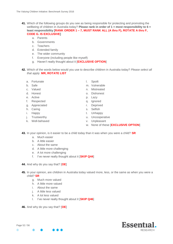- **41.** Which of the following groups do you see as being responsible for protecting and promoting the wellbeing of children in Australia today? **Please rank in order of 1 = most responsibility to 6 = least responsibility [RANK ORDER 1 – 7, MUST RANK ALL (A thru F), ROTATE A thru F, CODE G. IS EXCLUSIVE]**
	- a. Parents
	- b. Governments
	- c. Teachers
	- d. Extended family
	- e. The wider community
	- f. Everyone (including people like myself)
	- g. Haven't really thought about it [**EXCLUSIVE OPTION**]
- **42.** Which of the words below would you use to describe children in Australia today? *Please select all that apply.* **MR, ROTATE LIST**
	- a. Fortunate
	- b. Safe
	- c. Valued
	- d. Honest
	- e. Active
	- f. Respected
	- g. Appreciated
	- h. Caring
	- i. Happy
	- j. Trustworthy
	- k. Well-behaved
- l. Spoilt
- m. Vulnerable
- n. Mistreated
- o. Dishonest
- p. Lazy
- q. Ignored
- r. Deprived
- s. Selfish
- t. Unhappy
- u. Uncooperative
- v. Unpleasant
- w. None of these [**EXCLUSIVE OPTION**]
- **43.** In your opinion, is it easier to be a child today than it was when you were a child? **SR**
	- a. Much easier
	- b. A little easier
	- c. About the same
	- d. A little more challenging
	- e. A lot more challenging
	- f. I've never really thought about it [**SKIP Q44**]
- **44.** And why do you say that? [**OE**]
- **45.** In your opinion, are children in Australia today valued more, less, or the same as when you were a child? **SR**
	- g. Much more valued
	- h. A little more valued
	- i. About the same
	- j. A little less valued
	- k. A lot less valued
	- l. I've never really thought about it [**SKIP Q46**]
- **46.** And why do you say that? [**OE**]



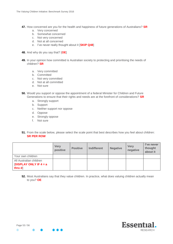- **47.** How concerned are you for the health and happiness of future generations of Australians? **SR**
	- a. Very concerned
	- b. Somewhat concerned
	- c. Not very concerned
	- d. Not at all concerned
	- e. I've never really thought about it [**SKIP Q48**]
- **48.** And why do you say that? [**OE**]
- **49.** In your opinion how committed is Australian society to protecting and prioritising the needs of children? **SR**
	- a. Very committed
	- b. Committed
	- c. Not very committed
	- d. Not at all committed
	- e. Not sure
- **50.** Would you support or oppose the appointment of a federal Minister for Children and Future Generations to ensure that their rights and needs are at the forefront of considerations? **SR**
	- a. Strongly support
	- b. Support
	- c. Neither support nor oppose
	- d. Oppose
	- e. Strongly oppose
	- f. Not sure
- **51.** From the scale below, please select the scale point that best describes how you feel about children: **SR PER ROW**

|                                                                    | <b>Very</b><br>positive | <b>Positive</b> | <b>Indifferent</b> | <b>Negative</b> | <b>Very</b><br>negative | l've never<br>thought<br>about it |
|--------------------------------------------------------------------|-------------------------|-----------------|--------------------|-----------------|-------------------------|-----------------------------------|
| Your own children                                                  |                         |                 |                    |                 |                         |                                   |
| All Australian children<br><b>[DISPLAY ONLY IF 4 = a</b><br>thru d |                         |                 |                    |                 |                         |                                   |

**52.** Most Australians say that they value children. In practice, what does valuing children actually mean to you? **OE**

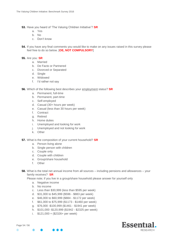- **53.** Have you heard of 'The Valuing Children Initiative'? **SR**
	- a. Yes
	- b. No
	- c. Don't know
- **54.** If you have any final comments you would like to make on any issues raised in this survey please feel free to do so below. [**OE, NOT COMPULSORY**]

#### **55.** Are you: **SR**

- a. Married
- b. De Facto or Partnered
- c. Divorced or Separated
- d. Single
- e. Widowed
- f. I'd rather not say
- **56.** Which of the following best describes your employment status? **SR**
	- a. Permanent, full-time
	- b. Permanent, part-time
	- c. Self-employed
	- d. Casual (30+ hours per week)
	- e. Casual (less than 30 hours per week)
	- f. Contract
	- g. Retired
	- h. Home duties
	- i. Unemployed and looking for work
	- j. Unemployed and not looking for work
	- k. Other
- **57.** What is the composition of your current household? **SR**
	- a. Person living alone
	- b. Single person with children
	- c. Couple only
	- d. Couple with children
	- e. Group/share household
	- f. Other
- **58.** What is the total net annual income from all sources including pensions and allowances your family receives? **SR**

Please note; if you live in a group/share household please answer for yourself only

- a. Negative income
- b. No income
- c. Less than \$30,999 (less than \$595 per week)
- d. \$31,000 to \$45,999 (\$596 \$883 per week)
- e. \$46,000 to \$60,999 (\$884 \$1172 per week)
- f. \$61,000 to \$75,999 (\$1173 \$1460 per week)
- g. \$76,000 -\$100,999 (\$1461 \$1941 per week)
- h. \$101,000 -\$120,999 (\$1942 \$2325 per week)
- i. \$121,000 + (\$2326+ per week)

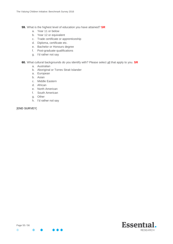- **59.** What is the highest level of education you have attained? **SR**
	- a. Year 11 or below
	- b. Year 12 or equivalent
	- c. Trade certificate or apprenticeship
	- d. Diploma, certificate etc.
	- e. Bachelor or Honours degree
	- f. Post-graduate qualifications
	- g. I'd rather not say
- **60.** What cultural backgrounds do you identify with? Please select all that apply to you. **SR**
	- a. Australian
	- b. Aboriginal or Torres Strait Islander
	- a. European
	- b. Asian
	- c. Middle Eastern
	- d. African
	- e. North American
	- f. South American
	- g. Other
	- h. I'd rather not say

[**END SURVEY**]